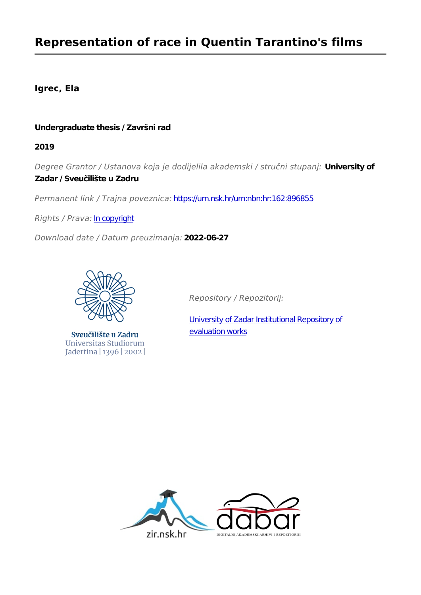# **Representation of race in Quentin Tarantino's films**

## **Igrec, Ela**

### **Undergraduate thesis / Završni rad**

### **2019**

*Degree Grantor / Ustanova koja je dodijelila akademski / stručni stupanj:* **University of Zadar / Sveučilište u Zadru**

*Permanent link / Trajna poveznica:* <https://urn.nsk.hr/urn:nbn:hr:162:896855>

*Rights / Prava:* [In copyright](http://rightsstatements.org/vocab/InC/1.0/)

*Download date / Datum preuzimanja:* **2022-06-27**



Sveučilište u Zadru Universitas Studiorum Jadertina | 1396 | 2002 |

*Repository / Repozitorij:*

[University of Zadar Institutional Repository of](https://repozitorij.unizd.hr) [evaluation works](https://repozitorij.unizd.hr)

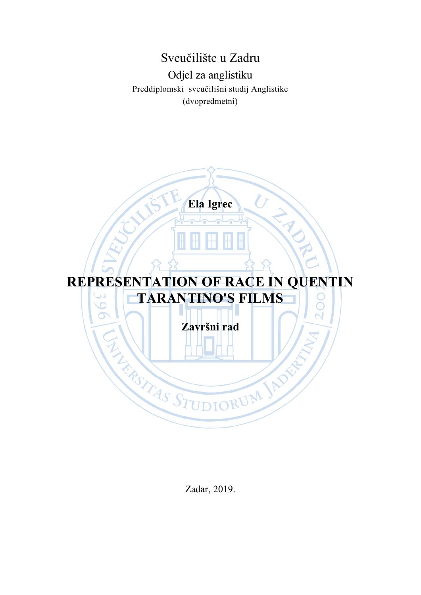# Sveučilište u Zadru

Odjel za anglistiku Preddiplomski sveučilišni studij Anglistike (dvopredmetni)



Zadar, 2019.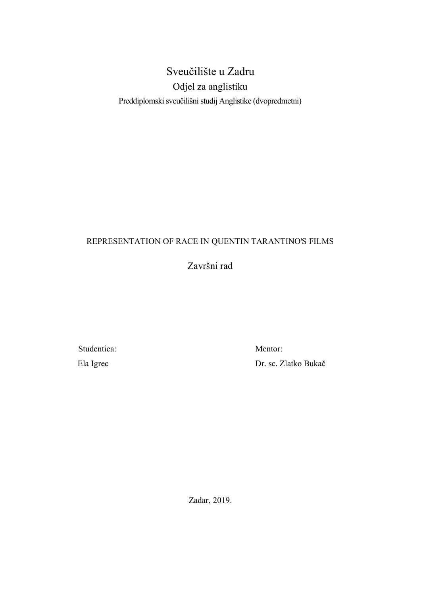# Sveučilište u Zadru Odjel za anglistiku Preddiplomski sveučilišni studij Anglistike (dvopredmetni)

## REPRESENTATION OF RACE IN QUENTIN TARANTINO'S FILMS

# Završni rad

Studentica: Ela Igrec

Mentor: Dr. sc. Zlatko Bukač

Zadar, 2019.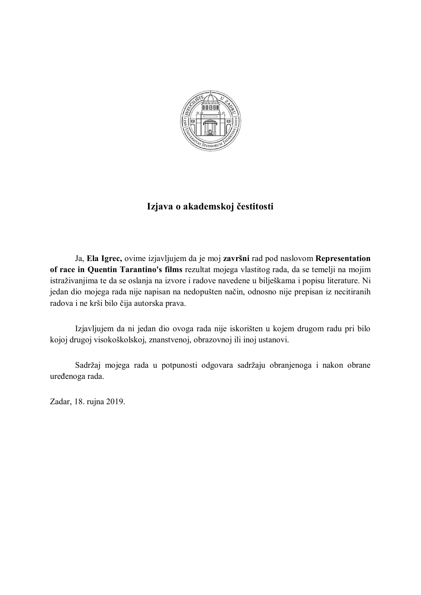

## **Izjava o akademskoj čestitosti**

Ja, **Ela Igrec,** ovime izjavljujem da je moj **završni** rad pod naslovom **Representation of race in Quentin Tarantino's films** rezultat mojega vlastitog rada, da se temelji na mojim istraživanjima te da se oslanja na izvore i radove navedene u bilješkama i popisu literature. Ni jedan dio mojega rada nije napisan na nedopušten način, odnosno nije prepisan iz necitiranih radova i ne krši bilo čija autorska prava.

Izjavljujem da ni jedan dio ovoga rada nije iskorišten u kojem drugom radu pri bilo kojoj drugoj visokoškolskoj, znanstvenoj, obrazovnoj ili inoj ustanovi.

Sadržaj mojega rada u potpunosti odgovara sadržaju obranjenoga i nakon obrane uređenoga rada.

Zadar, 18. rujna 2019.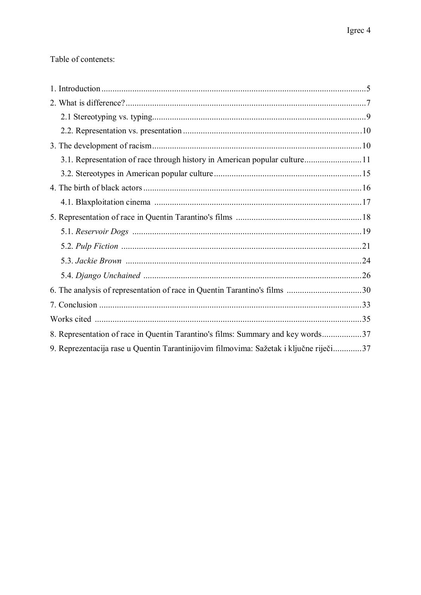## Table of contenets:

| 3.1. Representation of race through history in American popular culture11<br>6. The analysis of representation of race in Quentin Tarantino's films 30<br>8. Representation of race in Quentin Tarantino's films: Summary and key words37<br>9. Reprezentacija rase u Quentin Tarantinijovim filmovima: Sažetak i ključne riječi37 |  |
|------------------------------------------------------------------------------------------------------------------------------------------------------------------------------------------------------------------------------------------------------------------------------------------------------------------------------------|--|
|                                                                                                                                                                                                                                                                                                                                    |  |
|                                                                                                                                                                                                                                                                                                                                    |  |
|                                                                                                                                                                                                                                                                                                                                    |  |
|                                                                                                                                                                                                                                                                                                                                    |  |
|                                                                                                                                                                                                                                                                                                                                    |  |
|                                                                                                                                                                                                                                                                                                                                    |  |
|                                                                                                                                                                                                                                                                                                                                    |  |
|                                                                                                                                                                                                                                                                                                                                    |  |
|                                                                                                                                                                                                                                                                                                                                    |  |
|                                                                                                                                                                                                                                                                                                                                    |  |
|                                                                                                                                                                                                                                                                                                                                    |  |
|                                                                                                                                                                                                                                                                                                                                    |  |
|                                                                                                                                                                                                                                                                                                                                    |  |
|                                                                                                                                                                                                                                                                                                                                    |  |
|                                                                                                                                                                                                                                                                                                                                    |  |
|                                                                                                                                                                                                                                                                                                                                    |  |
|                                                                                                                                                                                                                                                                                                                                    |  |
|                                                                                                                                                                                                                                                                                                                                    |  |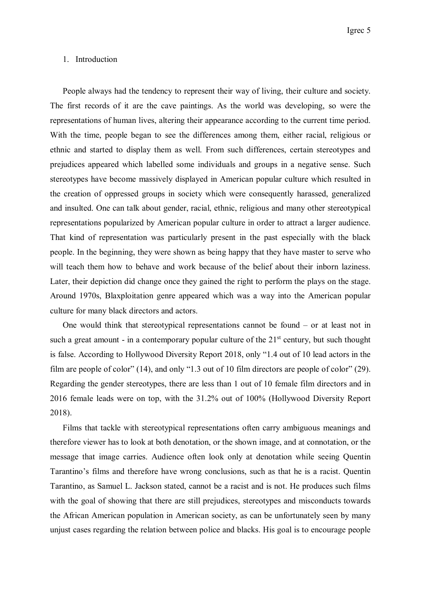#### 1. Introduction

People always had the tendency to represent their way of living, their culture and society. The first records of it are the cave paintings. As the world was developing, so were the representations of human lives, altering their appearance according to the current time period. With the time, people began to see the differences among them, either racial, religious or ethnic and started to display them as well. From such differences, certain stereotypes and prejudices appeared which labelled some individuals and groups in a negative sense. Such stereotypes have become massively displayed in American popular culture which resulted in the creation of oppressed groups in society which were consequently harassed, generalized and insulted. One can talk about gender, racial, ethnic, religious and many other stereotypical representations popularized by American popular culture in order to attract a larger audience. That kind of representation was particularly present in the past especially with the black people. In the beginning, they were shown as being happy that they have master to serve who will teach them how to behave and work because of the belief about their inborn laziness. Later, their depiction did change once they gained the right to perform the plays on the stage. Around 1970s, Blaxploitation genre appeared which was a way into the American popular culture for many black directors and actors.

One would think that stereotypical representations cannot be found – or at least not in such a great amount - in a contemporary popular culture of the  $21<sup>st</sup>$  century, but such thought is false. According to Hollywood Diversity Report 2018, only "1.4 out of 10 lead actors in the film are people of color" (14), and only "1.3 out of 10 film directors are people of color" (29). Regarding the gender stereotypes, there are less than 1 out of 10 female film directors and in 2016 female leads were on top, with the 31.2% out of 100% (Hollywood Diversity Report 2018).

Films that tackle with stereotypical representations often carry ambiguous meanings and therefore viewer has to look at both denotation, or the shown image, and at connotation, or the message that image carries. Audience often look only at denotation while seeing Quentin Tarantino's films and therefore have wrong conclusions, such as that he is a racist. Quentin Tarantino, as Samuel L. Jackson stated, cannot be a racist and is not. He produces such films with the goal of showing that there are still prejudices, stereotypes and misconducts towards the African American population in American society, as can be unfortunately seen by many unjust cases regarding the relation between police and blacks. His goal is to encourage people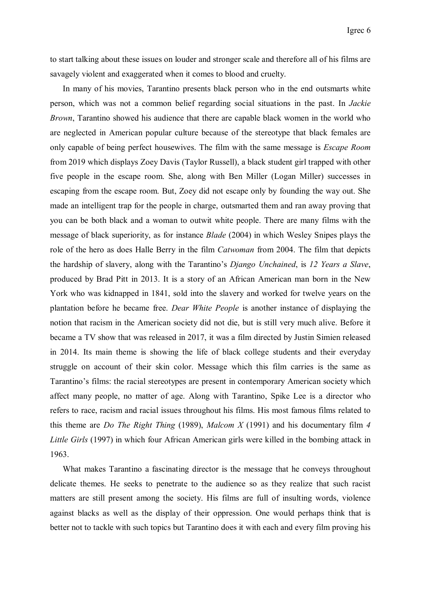to start talking about these issues on louder and stronger scale and therefore all of his films are savagely violent and exaggerated when it comes to blood and cruelty.

In many of his movies, Tarantino presents black person who in the end outsmarts white person, which was not a common belief regarding social situations in the past. In *Jackie Brown*, Tarantino showed his audience that there are capable black women in the world who are neglected in American popular culture because of the stereotype that black females are only capable of being perfect housewives. The film with the same message is *Escape Room* from 2019 which displays Zoey Davis (Taylor Russell), a black student girl trapped with other five people in the escape room. She, along with Ben Miller (Logan Miller) successes in escaping from the escape room. But, Zoey did not escape only by founding the way out. She made an intelligent trap for the people in charge, outsmarted them and ran away proving that you can be both black and a woman to outwit white people. There are many films with the message of black superiority, as for instance *Blade* (2004) in which Wesley Snipes plays the role of the hero as does Halle Berry in the film *Catwoman* from 2004. The film that depicts the hardship of slavery, along with the Tarantino's *Django Unchained*, is *12 Years a Slave*, produced by Brad Pitt in 2013. It is a story of an African American man born in the New York who was kidnapped in 1841, sold into the slavery and worked for twelve years on the plantation before he became free. *Dear White People* is another instance of displaying the notion that racism in the American society did not die, but is still very much alive. Before it became a TV show that was released in 2017, it was a film directed by Justin Simien released in 2014. Its main theme is showing the life of black college students and their everyday struggle on account of their skin color. Message which this film carries is the same as Tarantino's films: the racial stereotypes are present in contemporary American society which affect many people, no matter of age. Along with Tarantino, Spike Lee is a director who refers to race, racism and racial issues throughout his films. His most famous films related to this theme are *Do The Right Thing* (1989), *Malcom X* (1991) and his documentary film *4 Little Girls* (1997) in which four African American girls were killed in the bombing attack in 1963.

What makes Tarantino a fascinating director is the message that he conveys throughout delicate themes. He seeks to penetrate to the audience so as they realize that such racist matters are still present among the society. His films are full of insulting words, violence against blacks as well as the display of their oppression. One would perhaps think that is better not to tackle with such topics but Tarantino does it with each and every film proving his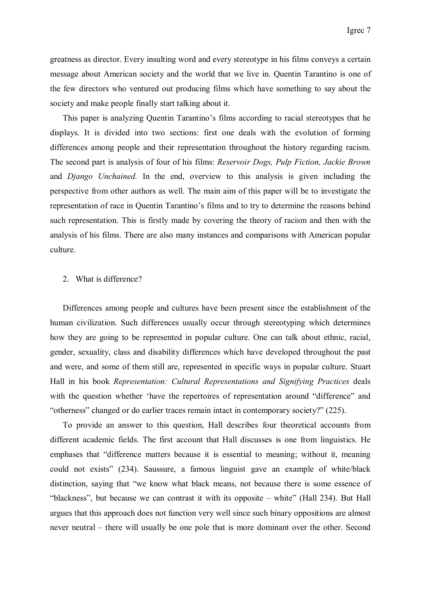greatness as director. Every insulting word and every stereotype in his films conveys a certain message about American society and the world that we live in. Quentin Tarantino is one of the few directors who ventured out producing films which have something to say about the society and make people finally start talking about it.

This paper is analyzing Quentin Tarantino's films according to racial stereotypes that he displays. It is divided into two sections: first one deals with the evolution of forming differences among people and their representation throughout the history regarding racism. The second part is analysis of four of his films: *Reservoir Dogs, Pulp Fiction, Jackie Brown* and *Django Unchained.* In the end, overview to this analysis is given including the perspective from other authors as well. The main aim of this paper will be to investigate the representation of race in Quentin Tarantino's films and to try to determine the reasons behind such representation. This is firstly made by covering the theory of racism and then with the analysis of his films. There are also many instances and comparisons with American popular culture.

#### 2. What is difference?

Differences among people and cultures have been present since the establishment of the human civilization. Such differences usually occur through stereotyping which determines how they are going to be represented in popular culture. One can talk about ethnic, racial, gender, sexuality, class and disability differences which have developed throughout the past and were, and some of them still are, represented in specific ways in popular culture. Stuart Hall in his book *Representation: Cultural Representations and Signifying Practices* deals with the question whether 'have the repertoires of representation around "difference" and "otherness" changed or do earlier traces remain intact in contemporary society?" (225).

To provide an answer to this question, Hall describes four theoretical accounts from different academic fields. The first account that Hall discusses is one from linguistics. He emphases that "difference matters because it is essential to meaning; without it, meaning could not exists" (234). Saussure, a famous linguist gave an example of white/black distinction, saying that "we know what black means, not because there is some essence of "blackness", but because we can contrast it with its opposite – white" (Hall 234). But Hall argues that this approach does not function very well since such binary oppositions are almost never neutral – there will usually be one pole that is more dominant over the other. Second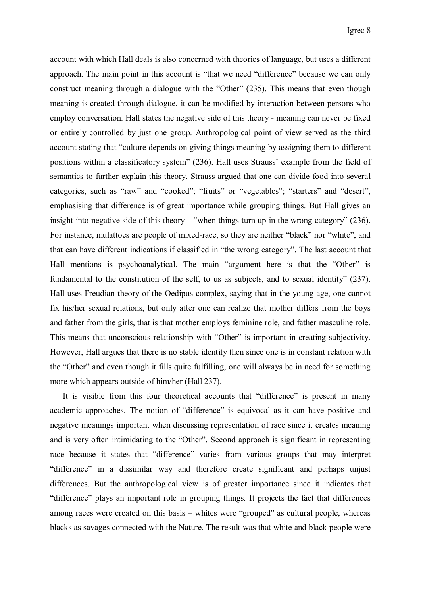account with which Hall deals is also concerned with theories of language, but uses a different approach. The main point in this account is "that we need "difference" because we can only construct meaning through a dialogue with the "Other" (235). This means that even though meaning is created through dialogue, it can be modified by interaction between persons who employ conversation. Hall states the negative side of this theory - meaning can never be fixed or entirely controlled by just one group. Anthropological point of view served as the third account stating that "culture depends on giving things meaning by assigning them to different positions within a classificatory system" (236). Hall uses Strauss' example from the field of semantics to further explain this theory. Strauss argued that one can divide food into several categories, such as "raw" and "cooked"; "fruits" or "vegetables"; "starters" and "desert", emphasising that difference is of great importance while grouping things. But Hall gives an insight into negative side of this theory – "when things turn up in the wrong category" (236). For instance, mulattoes are people of mixed-race, so they are neither "black" nor "white", and that can have different indications if classified in "the wrong category". The last account that Hall mentions is psychoanalytical. The main "argument here is that the "Other" is fundamental to the constitution of the self, to us as subjects, and to sexual identity" (237). Hall uses Freudian theory of the Oedipus complex, saying that in the young age, one cannot fix his/her sexual relations, but only after one can realize that mother differs from the boys and father from the girls, that is that mother employs feminine role, and father masculine role. This means that unconscious relationship with "Other" is important in creating subjectivity. However, Hall argues that there is no stable identity then since one is in constant relation with the "Other" and even though it fills quite fulfilling, one will always be in need for something more which appears outside of him/her (Hall 237).

It is visible from this four theoretical accounts that "difference" is present in many academic approaches. The notion of "difference" is equivocal as it can have positive and negative meanings important when discussing representation of race since it creates meaning and is very often intimidating to the "Other". Second approach is significant in representing race because it states that "difference" varies from various groups that may interpret "difference" in a dissimilar way and therefore create significant and perhaps unjust differences. But the anthropological view is of greater importance since it indicates that "difference" plays an important role in grouping things. It projects the fact that differences among races were created on this basis – whites were "grouped" as cultural people, whereas blacks as savages connected with the Nature. The result was that white and black people were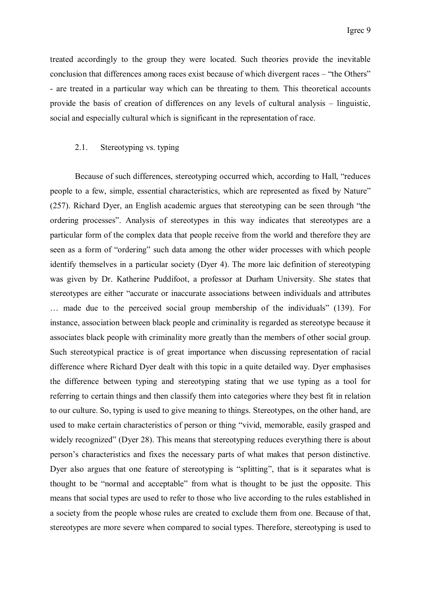treated accordingly to the group they were located. Such theories provide the inevitable conclusion that differences among races exist because of which divergent races – "the Others" - are treated in a particular way which can be threating to them. This theoretical accounts provide the basis of creation of differences on any levels of cultural analysis – linguistic, social and especially cultural which is significant in the representation of race.

#### 2.1. Stereotyping vs. typing

Because of such differences, stereotyping occurred which, according to Hall, "reduces people to a few, simple, essential characteristics, which are represented as fixed by Nature" (257). Richard Dyer, an English academic argues that stereotyping can be seen through "the ordering processes". Analysis of stereotypes in this way indicates that stereotypes are a particular form of the complex data that people receive from the world and therefore they are seen as a form of "ordering" such data among the other wider processes with which people identify themselves in a particular society (Dyer 4). The more laic definition of stereotyping was given by Dr. Katherine Puddifoot, a professor at Durham University. She states that stereotypes are either "accurate or inaccurate associations between individuals and attributes … made due to the perceived social group membership of the individuals" (139). For instance, association between black people and criminality is regarded as stereotype because it associates black people with criminality more greatly than the members of other social group. Such stereotypical practice is of great importance when discussing representation of racial difference where Richard Dyer dealt with this topic in a quite detailed way. Dyer emphasises the difference between typing and stereotyping stating that we use typing as a tool for referring to certain things and then classify them into categories where they best fit in relation to our culture. So, typing is used to give meaning to things. Stereotypes, on the other hand, are used to make certain characteristics of person or thing "vivid, memorable, easily grasped and widely recognized" (Dyer 28). This means that stereotyping reduces everything there is about person's characteristics and fixes the necessary parts of what makes that person distinctive. Dyer also argues that one feature of stereotyping is "splitting", that is it separates what is thought to be "normal and acceptable" from what is thought to be just the opposite. This means that social types are used to refer to those who live according to the rules established in a society from the people whose rules are created to exclude them from one. Because of that, stereotypes are more severe when compared to social types. Therefore, stereotyping is used to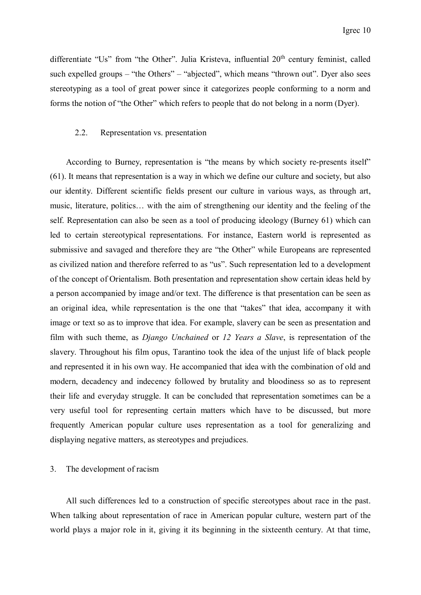differentiate "Us" from "the Other". Julia Kristeva, influential 20<sup>th</sup> century feminist, called such expelled groups – "the Others" – "abjected", which means "thrown out". Dyer also sees stereotyping as a tool of great power since it categorizes people conforming to a norm and forms the notion of "the Other" which refers to people that do not belong in a norm (Dyer).

#### 2.2. Representation vs. presentation

According to Burney, representation is "the means by which society re-presents itself" (61). It means that representation is a way in which we define our culture and society, but also our identity. Different scientific fields present our culture in various ways, as through art, music, literature, politics… with the aim of strengthening our identity and the feeling of the self. Representation can also be seen as a tool of producing ideology (Burney 61) which can led to certain stereotypical representations. For instance, Eastern world is represented as submissive and savaged and therefore they are "the Other" while Europeans are represented as civilized nation and therefore referred to as "us". Such representation led to a development of the concept of Orientalism. Both presentation and representation show certain ideas held by a person accompanied by image and/or text. The difference is that presentation can be seen as an original idea, while representation is the one that "takes" that idea, accompany it with image or text so as to improve that idea. For example, slavery can be seen as presentation and film with such theme, as *Django Unchained* or *12 Years a Slave*, is representation of the slavery. Throughout his film opus, Tarantino took the idea of the unjust life of black people and represented it in his own way. He accompanied that idea with the combination of old and modern, decadency and indecency followed by brutality and bloodiness so as to represent their life and everyday struggle. It can be concluded that representation sometimes can be a very useful tool for representing certain matters which have to be discussed, but more frequently American popular culture uses representation as a tool for generalizing and displaying negative matters, as stereotypes and prejudices.

#### 3. The development of racism

All such differences led to a construction of specific stereotypes about race in the past. When talking about representation of race in American popular culture, western part of the world plays a major role in it, giving it its beginning in the sixteenth century. At that time,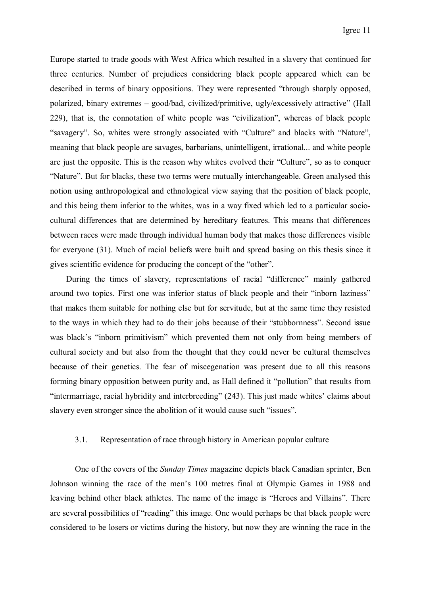Europe started to trade goods with West Africa which resulted in a slavery that continued for three centuries. Number of prejudices considering black people appeared which can be described in terms of binary oppositions. They were represented "through sharply opposed, polarized, binary extremes – good/bad, civilized/primitive, ugly/excessively attractive" (Hall 229), that is, the connotation of white people was "civilization", whereas of black people "savagery". So, whites were strongly associated with "Culture" and blacks with "Nature", meaning that black people are savages, barbarians, unintelligent, irrational... and white people are just the opposite. This is the reason why whites evolved their "Culture", so as to conquer "Nature". But for blacks, these two terms were mutually interchangeable. Green analysed this notion using anthropological and ethnological view saying that the position of black people, and this being them inferior to the whites, was in a way fixed which led to a particular sociocultural differences that are determined by hereditary features. This means that differences between races were made through individual human body that makes those differences visible for everyone (31). Much of racial beliefs were built and spread basing on this thesis since it gives scientific evidence for producing the concept of the "other".

During the times of slavery, representations of racial "difference" mainly gathered around two topics. First one was inferior status of black people and their "inborn laziness" that makes them suitable for nothing else but for servitude, but at the same time they resisted to the ways in which they had to do their jobs because of their "stubbornness". Second issue was black's "inborn primitivism" which prevented them not only from being members of cultural society and but also from the thought that they could never be cultural themselves because of their genetics. The fear of miscegenation was present due to all this reasons forming binary opposition between purity and, as Hall defined it "pollution" that results from "intermarriage, racial hybridity and interbreeding" (243). This just made whites' claims about slavery even stronger since the abolition of it would cause such "issues".

#### 3.1. Representation of race through history in American popular culture

One of the covers of the *Sunday Times* magazine depicts black Canadian sprinter, Ben Johnson winning the race of the men's 100 metres final at Olympic Games in 1988 and leaving behind other black athletes. The name of the image is "Heroes and Villains". There are several possibilities of "reading" this image. One would perhaps be that black people were considered to be losers or victims during the history, but now they are winning the race in the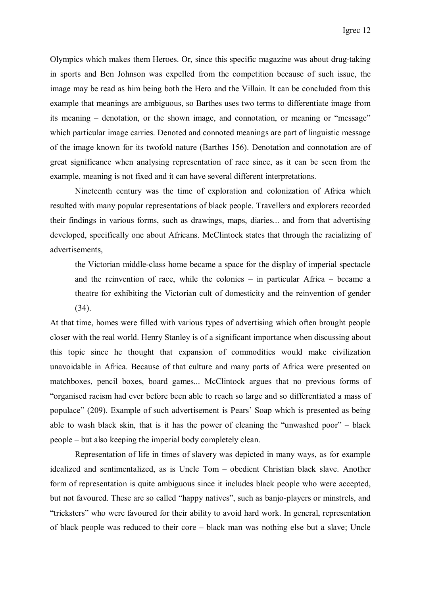Olympics which makes them Heroes. Or, since this specific magazine was about drug-taking in sports and Ben Johnson was expelled from the competition because of such issue, the image may be read as him being both the Hero and the Villain. It can be concluded from this example that meanings are ambiguous, so Barthes uses two terms to differentiate image from its meaning – denotation, or the shown image, and connotation, or meaning or "message" which particular image carries. Denoted and connoted meanings are part of linguistic message of the image known for its twofold nature (Barthes 156). Denotation and connotation are of great significance when analysing representation of race since, as it can be seen from the example, meaning is not fixed and it can have several different interpretations.

Nineteenth century was the time of exploration and colonization of Africa which resulted with many popular representations of black people. Travellers and explorers recorded their findings in various forms, such as drawings, maps, diaries... and from that advertising developed, specifically one about Africans. McClintock states that through the racializing of advertisements,

the Victorian middle-class home became a space for the display of imperial spectacle and the reinvention of race, while the colonies – in particular Africa – became a theatre for exhibiting the Victorian cult of domesticity and the reinvention of gender (34).

At that time, homes were filled with various types of advertising which often brought people closer with the real world. Henry Stanley is of a significant importance when discussing about this topic since he thought that expansion of commodities would make civilization unavoidable in Africa. Because of that culture and many parts of Africa were presented on matchboxes, pencil boxes, board games... McClintock argues that no previous forms of "organised racism had ever before been able to reach so large and so differentiated a mass of populace" (209). Example of such advertisement is Pears' Soap which is presented as being able to wash black skin, that is it has the power of cleaning the "unwashed poor" – black people – but also keeping the imperial body completely clean.

Representation of life in times of slavery was depicted in many ways, as for example idealized and sentimentalized, as is Uncle Tom – obedient Christian black slave. Another form of representation is quite ambiguous since it includes black people who were accepted, but not favoured. These are so called "happy natives", such as banjo-players or minstrels, and "tricksters" who were favoured for their ability to avoid hard work. In general, representation of black people was reduced to their core – black man was nothing else but a slave; Uncle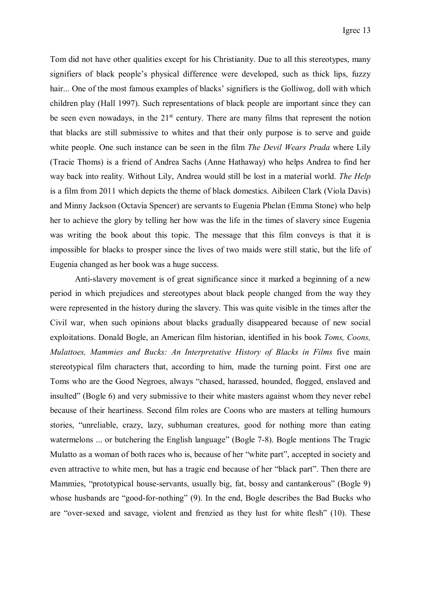Tom did not have other qualities except for his Christianity. Due to all this stereotypes, many signifiers of black people's physical difference were developed, such as thick lips, fuzzy hair... One of the most famous examples of blacks' signifiers is the Golliwog, doll with which children play (Hall 1997). Such representations of black people are important since they can be seen even nowadays, in the  $21<sup>st</sup>$  century. There are many films that represent the notion that blacks are still submissive to whites and that their only purpose is to serve and guide white people. One such instance can be seen in the film *The Devil Wears Prada* where Lily (Tracie Thoms) is a friend of Andrea Sachs (Anne Hathaway) who helps Andrea to find her way back into reality. Without Lily, Andrea would still be lost in a material world. *The Help* is a film from 2011 which depicts the theme of black domestics. Aibileen Clark (Viola Davis) and Minny Jackson (Octavia Spencer) are servants to Eugenia Phelan (Emma Stone) who help her to achieve the glory by telling her how was the life in the times of slavery since Eugenia was writing the book about this topic. The message that this film conveys is that it is impossible for blacks to prosper since the lives of two maids were still static, but the life of Eugenia changed as her book was a huge success.

Anti-slavery movement is of great significance since it marked a beginning of a new period in which prejudices and stereotypes about black people changed from the way they were represented in the history during the slavery. This was quite visible in the times after the Civil war, when such opinions about blacks gradually disappeared because of new social exploitations. Donald Bogle, an American film historian, identified in his book *Toms, Coons, Mulattoes, Mammies and Bucks: An Interpretative History of Blacks in Films* five main stereotypical film characters that, according to him, made the turning point. First one are Toms who are the Good Negroes, always "chased, harassed, hounded, flogged, enslaved and insulted" (Bogle 6) and very submissive to their white masters against whom they never rebel because of their heartiness. Second film roles are Coons who are masters at telling humours stories, "unreliable, crazy, lazy, subhuman creatures, good for nothing more than eating watermelons ... or butchering the English language" (Bogle 7-8). Bogle mentions The Tragic Mulatto as a woman of both races who is, because of her "white part", accepted in society and even attractive to white men, but has a tragic end because of her "black part". Then there are Mammies, "prototypical house-servants, usually big, fat, bossy and cantankerous" (Bogle 9) whose husbands are "good-for-nothing" (9). In the end, Bogle describes the Bad Bucks who are "over-sexed and savage, violent and frenzied as they lust for white flesh" (10). These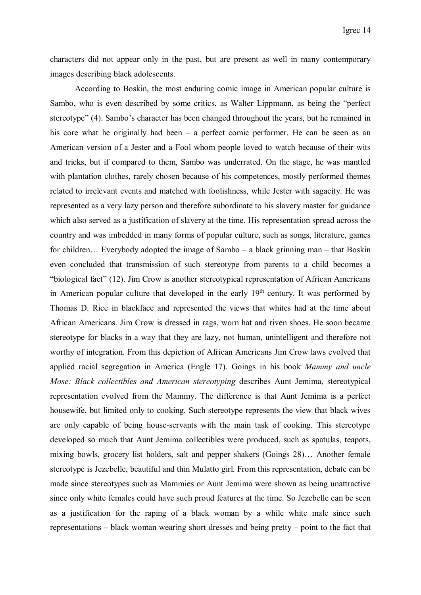characters did not appear only in the past, but are present as well in many contemporary images describing black adolescents.

According to Boskin, the most enduring comic image in American popular culture is Sambo, who is even described by some critics, as Walter Lippmann, as being the "perfect stereotype" (4). Sambo's character has been changed throughout the years, but he remained in his core what he originally had been – a perfect comic performer. He can be seen as an American version of a Jester and a Fool whom people loved to watch because of their wits and tricks, but if compared to them, Sambo was underrated. On the stage, he was mantled with plantation clothes, rarely chosen because of his competences, mostly performed themes related to irrelevant events and matched with foolishness, while Jester with sagacity. He was represented as a very lazy person and therefore subordinate to his slavery master for guidance which also served as a justification of slavery at the time. His representation spread across the country and was imbedded in many forms of popular culture, such as songs, literature, games for children… Everybody adopted the image of Sambo – a black grinning man – that Boskin even concluded that transmission of such stereotype from parents to a child becomes a "biological fact" (12). Jim Crow is another stereotypical representation of African Americans in American popular culture that developed in the early  $19<sup>th</sup>$  century. It was performed by Thomas D. Rice in blackface and represented the views that whites had at the time about African Americans. Jim Crow is dressed in rags, worn hat and riven shoes. He soon became stereotype for blacks in a way that they are lazy, not human, unintelligent and therefore not worthy of integration. From this depiction of African Americans Jim Crow laws evolved that applied racial segregation in America (Engle 17). Goings in his book *Mammy and uncle Mose: Black collectibles and American stereotyping* describes Aunt Jemima, stereotypical representation evolved from the Mammy. The difference is that Aunt Jemima is a perfect housewife, but limited only to cooking. Such stereotype represents the view that black wives are only capable of being house-servants with the main task of cooking. This stereotype developed so much that Aunt Jemima collectibles were produced, such as spatulas, teapots, mixing bowls, grocery list holders, salt and pepper shakers (Goings 28)… Another female stereotype is Jezebelle, beautiful and thin Mulatto girl. From this representation, debate can be made since stereotypes such as Mammies or Aunt Jemima were shown as being unattractive since only white females could have such proud features at the time. So Jezebelle can be seen as a justification for the raping of a black woman by a while white male since such representations – black woman wearing short dresses and being pretty – point to the fact that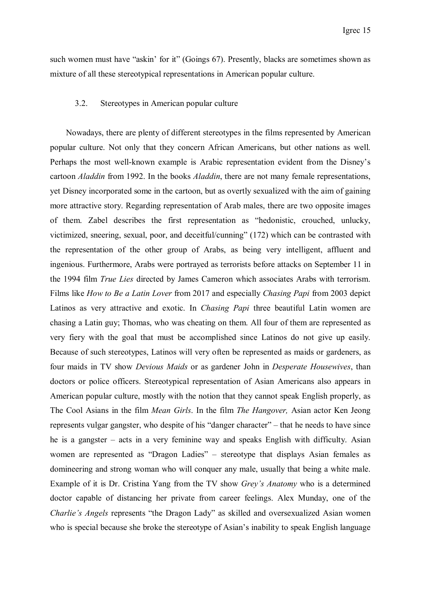such women must have "askin' for it" (Goings 67). Presently, blacks are sometimes shown as mixture of all these stereotypical representations in American popular culture.

#### 3.2. Stereotypes in American popular culture

Nowadays, there are plenty of different stereotypes in the films represented by American popular culture. Not only that they concern African Americans, but other nations as well. Perhaps the most well-known example is Arabic representation evident from the Disney's cartoon *Aladdin* from 1992. In the books *Aladdin*, there are not many female representations, yet Disney incorporated some in the cartoon, but as overtly sexualized with the aim of gaining more attractive story. Regarding representation of Arab males, there are two opposite images of them. Zabel describes the first representation as "hedonistic, crouched, unlucky, victimized, sneering, sexual, poor, and deceitful/cunning" (172) which can be contrasted with the representation of the other group of Arabs, as being very intelligent, affluent and ingenious. Furthermore, Arabs were portrayed as terrorists before attacks on September 11 in the 1994 film *True Lies* directed by James Cameron which associates Arabs with terrorism. Films like *How to Be a Latin Lover* from 2017 and especially *Chasing Papi* from 2003 depict Latinos as very attractive and exotic. In *Chasing Papi* three beautiful Latin women are chasing a Latin guy; Thomas, who was cheating on them. All four of them are represented as very fiery with the goal that must be accomplished since Latinos do not give up easily. Because of such stereotypes, Latinos will very often be represented as maids or gardeners, as four maids in TV show *Devious Maids* or as gardener John in *Desperate Housewives*, than doctors or police officers. Stereotypical representation of Asian Americans also appears in American popular culture, mostly with the notion that they cannot speak English properly, as The Cool Asians in the film *Mean Girls*. In the film *The Hangover,* Asian actor Ken Jeong represents vulgar gangster, who despite of his "danger character" – that he needs to have since he is a gangster – acts in a very feminine way and speaks English with difficulty. Asian women are represented as "Dragon Ladies" – stereotype that displays Asian females as domineering and strong woman who will conquer any male, usually that being a white male. Example of it is Dr. Cristina Yang from the TV show *Grey's Anatomy* who is a determined doctor capable of distancing her private from career feelings. Alex Munday, one of the *Charlie's Angels* represents "the Dragon Lady" as skilled and oversexualized Asian women who is special because she broke the stereotype of Asian's inability to speak English language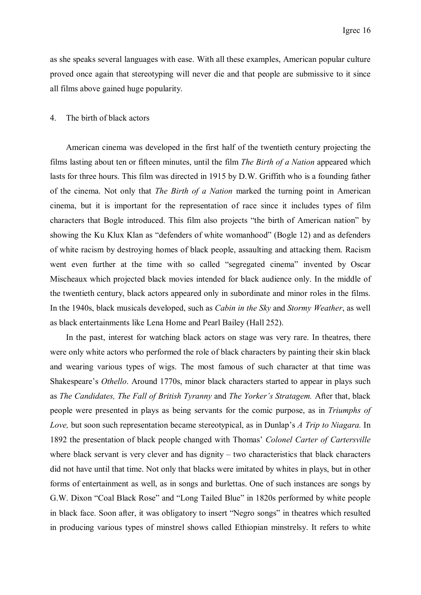as she speaks several languages with ease. With all these examples, American popular culture proved once again that stereotyping will never die and that people are submissive to it since all films above gained huge popularity.

#### 4. The birth of black actors

American cinema was developed in the first half of the twentieth century projecting the films lasting about ten or fifteen minutes, until the film *The Birth of a Nation* appeared which lasts for three hours. This film was directed in 1915 by D.W. Griffith who is a founding father of the cinema. Not only that *The Birth of a Nation* marked the turning point in American cinema, but it is important for the representation of race since it includes types of film characters that Bogle introduced. This film also projects "the birth of American nation" by showing the Ku Klux Klan as "defenders of white womanhood" (Bogle 12) and as defenders of white racism by destroying homes of black people, assaulting and attacking them. Racism went even further at the time with so called "segregated cinema" invented by Oscar Mischeaux which projected black movies intended for black audience only. In the middle of the twentieth century, black actors appeared only in subordinate and minor roles in the films. In the 1940s, black musicals developed, such as *Cabin in the Sky* and *Stormy Weather*, as well as black entertainments like Lena Home and Pearl Bailey (Hall 252).

In the past, interest for watching black actors on stage was very rare. In theatres, there were only white actors who performed the role of black characters by painting their skin black and wearing various types of wigs. The most famous of such character at that time was Shakespeare's *Othello*. Around 1770s, minor black characters started to appear in plays such as *The Candidates, The Fall of British Tyranny* and *The Yorker's Stratagem.* After that, black people were presented in plays as being servants for the comic purpose, as in *Triumphs of Love,* but soon such representation became stereotypical, as in Dunlap's *A Trip to Niagara.* In 1892 the presentation of black people changed with Thomas' *Colonel Carter of Cartersville* where black servant is very clever and has dignity – two characteristics that black characters did not have until that time. Not only that blacks were imitated by whites in plays, but in other forms of entertainment as well, as in songs and burlettas. One of such instances are songs by G.W. Dixon "Coal Black Rose" and "Long Tailed Blue" in 1820s performed by white people in black face. Soon after, it was obligatory to insert "Negro songs" in theatres which resulted in producing various types of minstrel shows called Ethiopian minstrelsy. It refers to white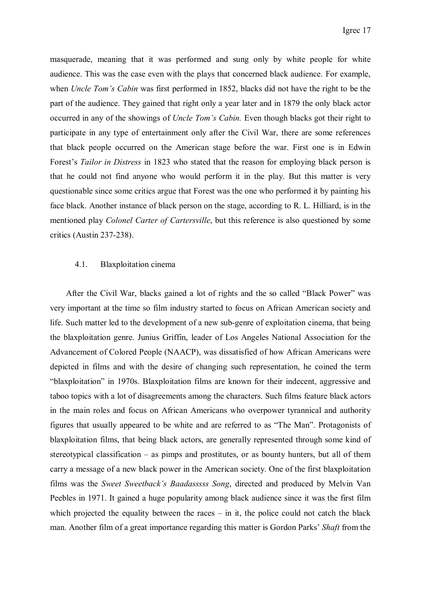masquerade, meaning that it was performed and sung only by white people for white audience. This was the case even with the plays that concerned black audience. For example, when *Uncle Tom's Cabin* was first performed in 1852, blacks did not have the right to be the part of the audience. They gained that right only a year later and in 1879 the only black actor occurred in any of the showings of *Uncle Tom's Cabin.* Even though blacks got their right to participate in any type of entertainment only after the Civil War, there are some references that black people occurred on the American stage before the war. First one is in Edwin Forest's *Tailor in Distress* in 1823 who stated that the reason for employing black person is that he could not find anyone who would perform it in the play. But this matter is very questionable since some critics argue that Forest was the one who performed it by painting his face black. Another instance of black person on the stage, according to R. L. Hilliard, is in the mentioned play *Colonel Carter of Cartersville*, but this reference is also questioned by some critics (Austin 237-238).

#### 4.1. Blaxploitation cinema

After the Civil War, blacks gained a lot of rights and the so called "Black Power" was very important at the time so film industry started to focus on African American society and life. Such matter led to the development of a new sub-genre of exploitation cinema, that being the blaxploitation genre. Junius Griffin, leader of Los Angeles National Association for the Advancement of Colored People (NAACP), was dissatisfied of how African Americans were depicted in films and with the desire of changing such representation, he coined the term "blaxploitation" in 1970s. Blaxploitation films are known for their indecent, aggressive and taboo topics with a lot of disagreements among the characters. Such films feature black actors in the main roles and focus on African Americans who overpower tyrannical and authority figures that usually appeared to be white and are referred to as "The Man". Protagonists of blaxploitation films, that being black actors, are generally represented through some kind of stereotypical classification – as pimps and prostitutes, or as bounty hunters, but all of them carry a message of a new black power in the American society. One of the first blaxploitation films was the *Sweet Sweetback's Baadasssss Song*, directed and produced by Melvin Van Peebles in 1971. It gained a huge popularity among black audience since it was the first film which projected the equality between the races – in it, the police could not catch the black man. Another film of a great importance regarding this matter is Gordon Parks' *Shaft* from the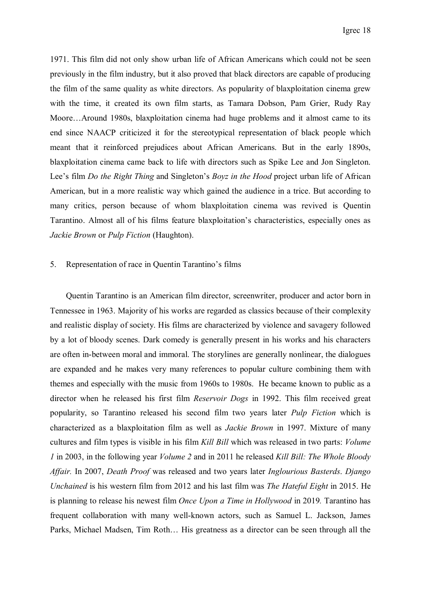1971. This film did not only show urban life of African Americans which could not be seen previously in the film industry, but it also proved that black directors are capable of producing the film of the same quality as white directors. As popularity of blaxploitation cinema grew with the time, it created its own film starts, as Tamara Dobson, Pam Grier, Rudy Ray Moore…Around 1980s, blaxploitation cinema had huge problems and it almost came to its end since NAACP criticized it for the stereotypical representation of black people which meant that it reinforced prejudices about African Americans. But in the early 1890s, blaxploitation cinema came back to life with directors such as Spike Lee and Jon Singleton. Lee's film *Do the Right Thing* and Singleton's *Boyz in the Hood* project urban life of African American, but in a more realistic way which gained the audience in a trice. But according to many critics, person because of whom blaxploitation cinema was revived is Quentin Tarantino. Almost all of his films feature blaxploitation's characteristics, especially ones as *Jackie Brown* or *Pulp Fiction* (Haughton).

#### 5. Representation of race in Quentin Tarantino's films

Quentin Tarantino is an American film director, screenwriter, producer and actor born in Tennessee in 1963. Majority of his works are regarded as classics because of their complexity and realistic display of society. His films are characterized by violence and savagery followed by a lot of bloody scenes. Dark comedy is generally present in his works and his characters are often in-between moral and immoral. The storylines are generally nonlinear, the dialogues are expanded and he makes very many references to popular culture combining them with themes and especially with the music from 1960s to 1980s. He became known to public as a director when he released his first film *Reservoir Dogs* in 1992. This film received great popularity, so Tarantino released his second film two years later *Pulp Fiction* which is characterized as a blaxploitation film as well as *Jackie Brown* in 1997. Mixture of many cultures and film types is visible in his film *Kill Bill* which was released in two parts: *Volume 1* in 2003, in the following year *Volume 2* and in 2011 he released *Kill Bill: The Whole Bloody Affair.* In 2007, *Death Proof* was released and two years later *Inglourious Basterds*. *Django Unchained* is his western film from 2012 and his last film was *The Hateful Eight* in 2015. He is planning to release his newest film *Once Upon a Time in Hollywood* in 2019*.* Tarantino has frequent collaboration with many well-known actors, such as Samuel L. Jackson, James Parks, Michael Madsen, Tim Roth… His greatness as a director can be seen through all the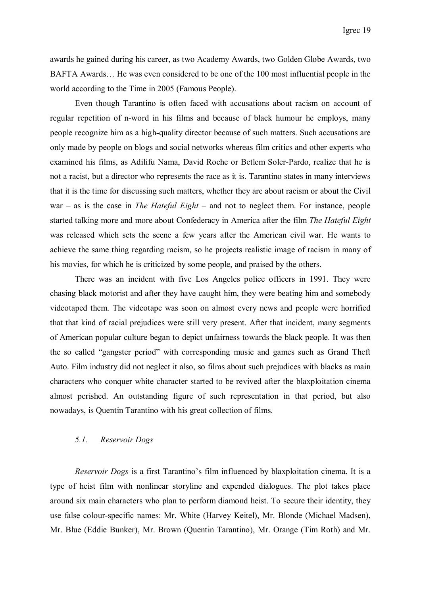awards he gained during his career, as two Academy Awards, two Golden Globe Awards, two BAFTA Awards… He was even considered to be one of the 100 most influential people in the world according to the Time in 2005 (Famous People).

 Even though Tarantino is often faced with accusations about racism on account of regular repetition of n-word in his films and because of black humour he employs, many people recognize him as a high-quality director because of such matters. Such accusations are only made by people on blogs and social networks whereas film critics and other experts who examined his films, as Adilifu Nama, David Roche or Betlem Soler-Pardo, realize that he is not a racist, but a director who represents the race as it is. Tarantino states in many interviews that it is the time for discussing such matters, whether they are about racism or about the Civil war – as is the case in *The Hateful Eight* – and not to neglect them. For instance, people started talking more and more about Confederacy in America after the film *The Hateful Eight* was released which sets the scene a few years after the American civil war. He wants to achieve the same thing regarding racism, so he projects realistic image of racism in many of his movies, for which he is criticized by some people, and praised by the others.

There was an incident with five Los Angeles police officers in 1991. They were chasing black motorist and after they have caught him, they were beating him and somebody videotaped them. The videotape was soon on almost every news and people were horrified that that kind of racial prejudices were still very present. After that incident, many segments of American popular culture began to depict unfairness towards the black people. It was then the so called "gangster period" with corresponding music and games such as Grand Theft Auto. Film industry did not neglect it also, so films about such prejudices with blacks as main characters who conquer white character started to be revived after the blaxploitation cinema almost perished. An outstanding figure of such representation in that period, but also nowadays, is Quentin Tarantino with his great collection of films.

#### *5.1. Reservoir Dogs*

*Reservoir Dogs* is a first Tarantino's film influenced by blaxploitation cinema. It is a type of heist film with nonlinear storyline and expended dialogues. The plot takes place around six main characters who plan to perform diamond heist. To secure their identity, they use false colour-specific names: Mr. White (Harvey Keitel), Mr. Blonde (Michael Madsen), Mr. Blue (Eddie Bunker), Mr. Brown (Quentin Tarantino), Mr. Orange (Tim Roth) and Mr.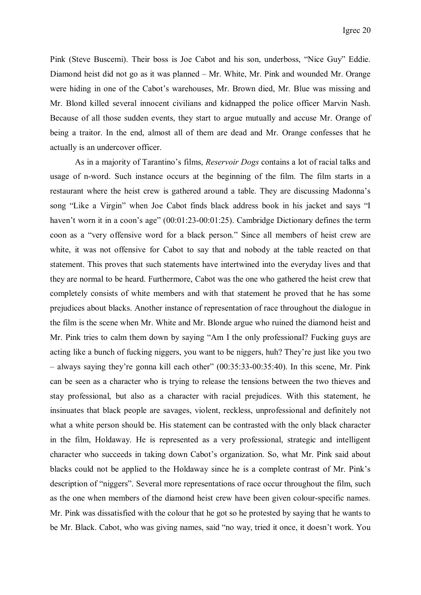Pink (Steve Buscemi). Their boss is Joe Cabot and his son, underboss, "Nice Guy" Eddie. Diamond heist did not go as it was planned – Mr. White, Mr. Pink and wounded Mr. Orange were hiding in one of the Cabot's warehouses, Mr. Brown died, Mr. Blue was missing and Mr. Blond killed several innocent civilians and kidnapped the police officer Marvin Nash. Because of all those sudden events, they start to argue mutually and accuse Mr. Orange of being a traitor. In the end, almost all of them are dead and Mr. Orange confesses that he actually is an undercover officer.

As in a majority of Tarantino's films, *Reservoir Dogs* contains a lot of racial talks and usage of n-word. Such instance occurs at the beginning of the film. The film starts in a restaurant where the heist crew is gathered around a table. They are discussing Madonna's song "Like a Virgin" when Joe Cabot finds black address book in his jacket and says "I haven't worn it in a coon's age" (00:01:23-00:01:25). Cambridge Dictionary defines the term coon as a "very offensive word for a black person." Since all members of heist crew are white, it was not offensive for Cabot to say that and nobody at the table reacted on that statement. This proves that such statements have intertwined into the everyday lives and that they are normal to be heard. Furthermore, Cabot was the one who gathered the heist crew that completely consists of white members and with that statement he proved that he has some prejudices about blacks. Another instance of representation of race throughout the dialogue in the film is the scene when Mr. White and Mr. Blonde argue who ruined the diamond heist and Mr. Pink tries to calm them down by saying "Am I the only professional? Fucking guys are acting like a bunch of fucking niggers, you want to be niggers, huh? They're just like you two – always saying they're gonna kill each other" (00:35:33-00:35:40). In this scene, Mr. Pink can be seen as a character who is trying to release the tensions between the two thieves and stay professional, but also as a character with racial prejudices. With this statement, he insinuates that black people are savages, violent, reckless, unprofessional and definitely not what a white person should be. His statement can be contrasted with the only black character in the film, Holdaway. He is represented as a very professional, strategic and intelligent character who succeeds in taking down Cabot's organization. So, what Mr. Pink said about blacks could not be applied to the Holdaway since he is a complete contrast of Mr. Pink's description of "niggers". Several more representations of race occur throughout the film, such as the one when members of the diamond heist crew have been given colour-specific names. Mr. Pink was dissatisfied with the colour that he got so he protested by saying that he wants to be Mr. Black. Cabot, who was giving names, said "no way, tried it once, it doesn't work. You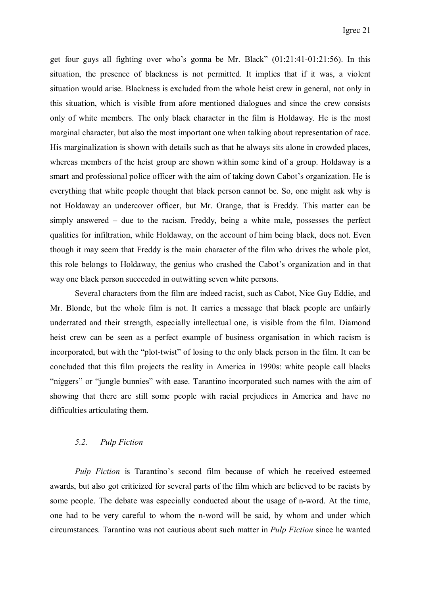get four guys all fighting over who's gonna be Mr. Black" (01:21:41-01:21:56). In this situation, the presence of blackness is not permitted. It implies that if it was, a violent situation would arise. Blackness is excluded from the whole heist crew in general, not only in this situation, which is visible from afore mentioned dialogues and since the crew consists only of white members. The only black character in the film is Holdaway. He is the most marginal character, but also the most important one when talking about representation of race. His marginalization is shown with details such as that he always sits alone in crowded places, whereas members of the heist group are shown within some kind of a group. Holdaway is a smart and professional police officer with the aim of taking down Cabot's organization. He is everything that white people thought that black person cannot be. So, one might ask why is not Holdaway an undercover officer, but Mr. Orange, that is Freddy. This matter can be simply answered – due to the racism. Freddy, being a white male, possesses the perfect qualities for infiltration, while Holdaway, on the account of him being black, does not. Even though it may seem that Freddy is the main character of the film who drives the whole plot, this role belongs to Holdaway, the genius who crashed the Cabot's organization and in that way one black person succeeded in outwitting seven white persons.

Several characters from the film are indeed racist, such as Cabot, Nice Guy Eddie, and Mr. Blonde, but the whole film is not. It carries a message that black people are unfairly underrated and their strength, especially intellectual one, is visible from the film. Diamond heist crew can be seen as a perfect example of business organisation in which racism is incorporated, but with the "plot-twist" of losing to the only black person in the film. It can be concluded that this film projects the reality in America in 1990s: white people call blacks "niggers" or "jungle bunnies" with ease. Tarantino incorporated such names with the aim of showing that there are still some people with racial prejudices in America and have no difficulties articulating them.

#### *5.2. Pulp Fiction*

*Pulp Fiction* is Tarantino's second film because of which he received esteemed awards, but also got criticized for several parts of the film which are believed to be racists by some people. The debate was especially conducted about the usage of n-word. At the time, one had to be very careful to whom the n-word will be said, by whom and under which circumstances. Tarantino was not cautious about such matter in *Pulp Fiction* since he wanted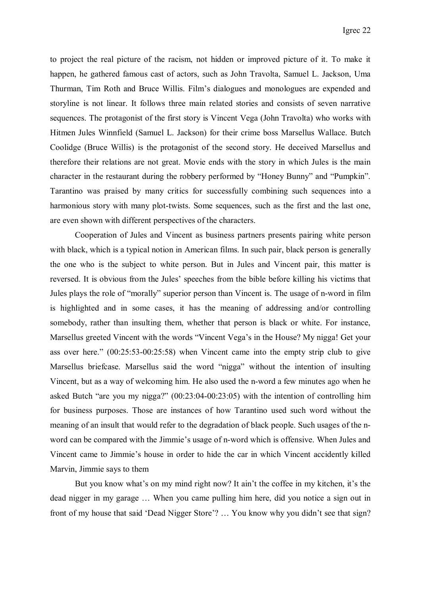to project the real picture of the racism, not hidden or improved picture of it. To make it happen, he gathered famous cast of actors, such as John Travolta, Samuel L. Jackson, Uma Thurman, Tim Roth and Bruce Willis. Film's dialogues and monologues are expended and storyline is not linear. It follows three main related stories and consists of seven narrative sequences. The protagonist of the first story is Vincent Vega (John Travolta) who works with Hitmen Jules Winnfield (Samuel L. Jackson) for their crime boss Marsellus Wallace. Butch Coolidge (Bruce Willis) is the protagonist of the second story. He deceived Marsellus and therefore their relations are not great. Movie ends with the story in which Jules is the main character in the restaurant during the robbery performed by "Honey Bunny" and "Pumpkin". Tarantino was praised by many critics for successfully combining such sequences into a harmonious story with many plot-twists. Some sequences, such as the first and the last one, are even shown with different perspectives of the characters.

Cooperation of Jules and Vincent as business partners presents pairing white person with black, which is a typical notion in American films. In such pair, black person is generally the one who is the subject to white person. But in Jules and Vincent pair, this matter is reversed. It is obvious from the Jules' speeches from the bible before killing his victims that Jules plays the role of "morally" superior person than Vincent is. The usage of n-word in film is highlighted and in some cases, it has the meaning of addressing and/or controlling somebody, rather than insulting them, whether that person is black or white. For instance, Marsellus greeted Vincent with the words "Vincent Vega's in the House? My nigga! Get your ass over here." (00:25:53-00:25:58) when Vincent came into the empty strip club to give Marsellus briefcase. Marsellus said the word "nigga" without the intention of insulting Vincent, but as a way of welcoming him. He also used the n-word a few minutes ago when he asked Butch "are you my nigga?" (00:23:04-00:23:05) with the intention of controlling him for business purposes. Those are instances of how Tarantino used such word without the meaning of an insult that would refer to the degradation of black people. Such usages of the nword can be compared with the Jimmie's usage of n-word which is offensive. When Jules and Vincent came to Jimmie's house in order to hide the car in which Vincent accidently killed Marvin, Jimmie says to them

But you know what's on my mind right now? It ain't the coffee in my kitchen, it's the dead nigger in my garage … When you came pulling him here, did you notice a sign out in front of my house that said 'Dead Nigger Store'? … You know why you didn't see that sign?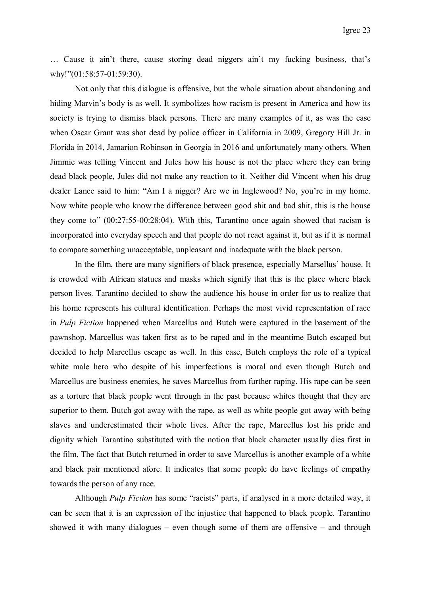… Cause it ain't there, cause storing dead niggers ain't my fucking business, that's why!"(01:58:57-01:59:30).

Not only that this dialogue is offensive, but the whole situation about abandoning and hiding Marvin's body is as well. It symbolizes how racism is present in America and how its society is trying to dismiss black persons. There are many examples of it, as was the case when Oscar Grant was shot dead by police officer in California in 2009, Gregory Hill Jr. in Florida in 2014, Jamarion Robinson in Georgia in 2016 and unfortunately many others. When Jimmie was telling Vincent and Jules how his house is not the place where they can bring dead black people, Jules did not make any reaction to it. Neither did Vincent when his drug dealer Lance said to him: "Am I a nigger? Are we in Inglewood? No, you're in my home. Now white people who know the difference between good shit and bad shit, this is the house they come to"  $(00:27:55-00:28:04)$ . With this, Tarantino once again showed that racism is incorporated into everyday speech and that people do not react against it, but as if it is normal to compare something unacceptable, unpleasant and inadequate with the black person.

In the film, there are many signifiers of black presence, especially Marsellus' house. It is crowded with African statues and masks which signify that this is the place where black person lives. Tarantino decided to show the audience his house in order for us to realize that his home represents his cultural identification. Perhaps the most vivid representation of race in *Pulp Fiction* happened when Marcellus and Butch were captured in the basement of the pawnshop. Marcellus was taken first as to be raped and in the meantime Butch escaped but decided to help Marcellus escape as well. In this case, Butch employs the role of a typical white male hero who despite of his imperfections is moral and even though Butch and Marcellus are business enemies, he saves Marcellus from further raping. His rape can be seen as a torture that black people went through in the past because whites thought that they are superior to them. Butch got away with the rape, as well as white people got away with being slaves and underestimated their whole lives. After the rape, Marcellus lost his pride and dignity which Tarantino substituted with the notion that black character usually dies first in the film. The fact that Butch returned in order to save Marcellus is another example of a white and black pair mentioned afore. It indicates that some people do have feelings of empathy towards the person of any race.

Although *Pulp Fiction* has some "racists" parts, if analysed in a more detailed way, it can be seen that it is an expression of the injustice that happened to black people. Tarantino showed it with many dialogues – even though some of them are offensive – and through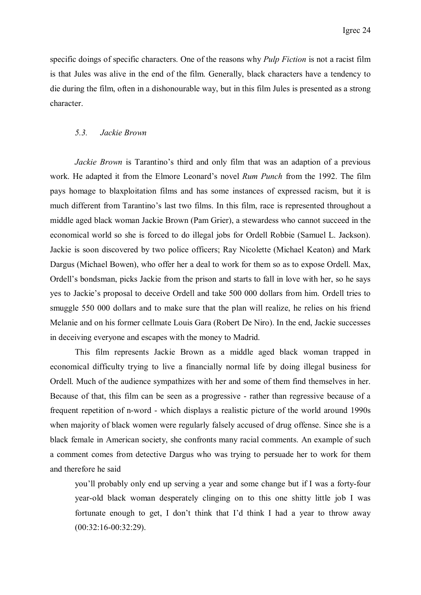specific doings of specific characters. One of the reasons why *Pulp Fiction* is not a racist film is that Jules was alive in the end of the film. Generally, black characters have a tendency to die during the film, often in a dishonourable way, but in this film Jules is presented as a strong character.

#### *5.3. Jackie Brown*

*Jackie Brown* is Tarantino's third and only film that was an adaption of a previous work. He adapted it from the Elmore Leonard's novel *Rum Punch* from the 1992. The film pays homage to blaxploitation films and has some instances of expressed racism, but it is much different from Tarantino's last two films. In this film, race is represented throughout a middle aged black woman Jackie Brown (Pam Grier), a stewardess who cannot succeed in the economical world so she is forced to do illegal jobs for Ordell Robbie (Samuel L. Jackson). Jackie is soon discovered by two police officers; Ray Nicolette (Michael Keaton) and Mark Dargus (Michael Bowen), who offer her a deal to work for them so as to expose Ordell. Max, Ordell's bondsman, picks Jackie from the prison and starts to fall in love with her, so he says yes to Jackie's proposal to deceive Ordell and take 500 000 dollars from him. Ordell tries to smuggle 550 000 dollars and to make sure that the plan will realize, he relies on his friend Melanie and on his former cellmate Louis Gara (Robert De Niro). In the end, Jackie successes in deceiving everyone and escapes with the money to Madrid.

This film represents Jackie Brown as a middle aged black woman trapped in economical difficulty trying to live a financially normal life by doing illegal business for Ordell. Much of the audience sympathizes with her and some of them find themselves in her. Because of that, this film can be seen as a progressive - rather than regressive because of a frequent repetition of n-word - which displays a realistic picture of the world around 1990s when majority of black women were regularly falsely accused of drug offense. Since she is a black female in American society, she confronts many racial comments. An example of such a comment comes from detective Dargus who was trying to persuade her to work for them and therefore he said

you'll probably only end up serving a year and some change but if I was a forty-four year-old black woman desperately clinging on to this one shitty little job I was fortunate enough to get, I don't think that I'd think I had a year to throw away (00:32:16-00:32:29).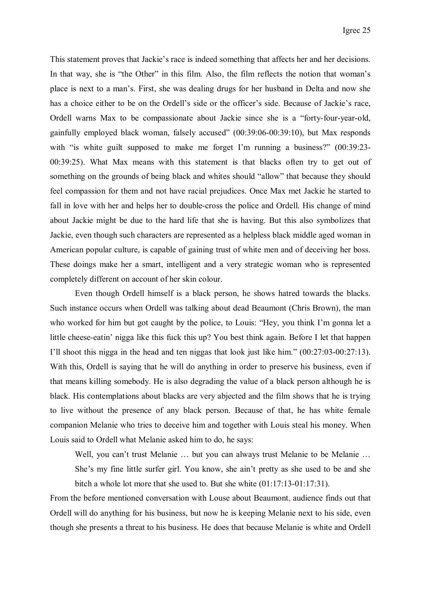This statement proves that Jackie's race is indeed something that affects her and her decisions. In that way, she is "the Other" in this film. Also, the film reflects the notion that woman's place is next to a man's. First, she was dealing drugs for her husband in Delta and now she has a choice either to be on the Ordell's side or the officer's side. Because of Jackie's race, Ordell warns Max to be compassionate about Jackie since she is a "forty-four-year-old, gainfully employed black woman, falsely accused" (00:39:06-00:39:10), but Max responds with "is white guilt supposed to make me forget I'm running a business?" (00:39:23-00:39:25). What Max means with this statement is that blacks often try to get out of something on the grounds of being black and whites should "allow" that because they should feel compassion for them and not have racial prejudices. Once Max met Jackie he started to fall in love with her and helps her to double-cross the police and Ordell. His change of mind about Jackie might be due to the hard life that she is having. But this also symbolizes that Jackie, even though such characters are represented as a helpless black middle aged woman in American popular culture, is capable of gaining trust of white men and of deceiving her boss. These doings make her a smart, intelligent and a very strategic woman who is represented completely different on account of her skin colour.

Even though Ordell himself is a black person, he shows hatred towards the blacks. Such instance occurs when Ordell was talking about dead Beaumont (Chris Brown), the man who worked for him but got caught by the police, to Louis: "Hey, you think I'm gonna let a little cheese-eatin' nigga like this fuck this up? You best think again. Before I let that happen I'll shoot this nigga in the head and ten niggas that look just like him." (00:27:03-00:27:13). With this, Ordell is saying that he will do anything in order to preserve his business, even if that means killing somebody. He is also degrading the value of a black person although he is black. His contemplations about blacks are very abjected and the film shows that he is trying to live without the presence of any black person. Because of that, he has white female companion Melanie who tries to deceive him and together with Louis steal his money. When Louis said to Ordell what Melanie asked him to do, he says:

Well, you can't trust Melanie … but you can always trust Melanie to be Melanie … She's my fine little surfer girl. You know, she ain't pretty as she used to be and she bitch a whole lot more that she used to. But she white (01:17:13-01:17:31).

From the before mentioned conversation with Louse about Beaumont, audience finds out that Ordell will do anything for his business, but now he is keeping Melanie next to his side, even though she presents a threat to his business. He does that because Melanie is white and Ordell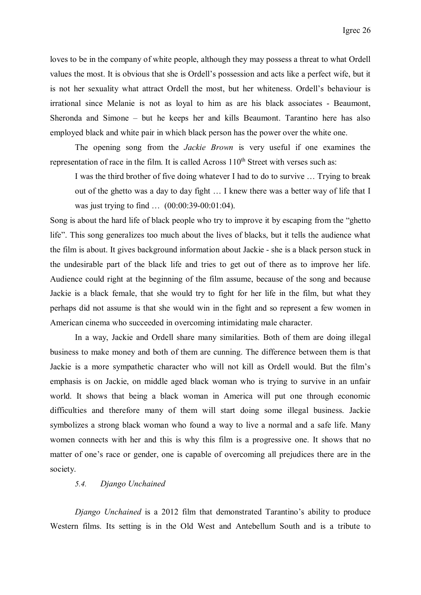loves to be in the company of white people, although they may possess a threat to what Ordell values the most. It is obvious that she is Ordell's possession and acts like a perfect wife, but it is not her sexuality what attract Ordell the most, but her whiteness. Ordell's behaviour is irrational since Melanie is not as loyal to him as are his black associates - Beaumont, Sheronda and Simone – but he keeps her and kills Beaumont. Tarantino here has also employed black and white pair in which black person has the power over the white one.

The opening song from the *Jackie Brown* is very useful if one examines the representation of race in the film. It is called Across  $110<sup>th</sup>$  Street with verses such as:

I was the third brother of five doing whatever I had to do to survive … Trying to break out of the ghetto was a day to day fight … I knew there was a better way of life that I was just trying to find … (00:00:39-00:01:04).

Song is about the hard life of black people who try to improve it by escaping from the "ghetto life". This song generalizes too much about the lives of blacks, but it tells the audience what the film is about. It gives background information about Jackie - she is a black person stuck in the undesirable part of the black life and tries to get out of there as to improve her life. Audience could right at the beginning of the film assume, because of the song and because Jackie is a black female, that she would try to fight for her life in the film, but what they perhaps did not assume is that she would win in the fight and so represent a few women in American cinema who succeeded in overcoming intimidating male character.

In a way, Jackie and Ordell share many similarities. Both of them are doing illegal business to make money and both of them are cunning. The difference between them is that Jackie is a more sympathetic character who will not kill as Ordell would. But the film's emphasis is on Jackie, on middle aged black woman who is trying to survive in an unfair world. It shows that being a black woman in America will put one through economic difficulties and therefore many of them will start doing some illegal business. Jackie symbolizes a strong black woman who found a way to live a normal and a safe life. Many women connects with her and this is why this film is a progressive one. It shows that no matter of one's race or gender, one is capable of overcoming all prejudices there are in the society.

#### *5.4. Django Unchained*

*Django Unchained* is a 2012 film that demonstrated Tarantino's ability to produce Western films. Its setting is in the Old West and Antebellum South and is a tribute to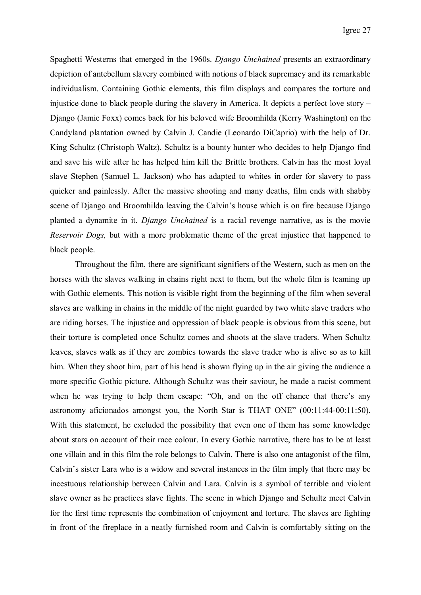Spaghetti Westerns that emerged in the 1960s. *Django Unchained* presents an extraordinary depiction of antebellum slavery combined with notions of black supremacy and its remarkable individualism. Containing Gothic elements, this film displays and compares the torture and injustice done to black people during the slavery in America. It depicts a perfect love story – Django (Jamie Foxx) comes back for his beloved wife Broomhilda (Kerry Washington) on the Candyland plantation owned by Calvin J. Candie (Leonardo DiCaprio) with the help of Dr. King Schultz (Christoph Waltz). Schultz is a bounty hunter who decides to help Django find and save his wife after he has helped him kill the Brittle brothers. Calvin has the most loyal slave Stephen (Samuel L. Jackson) who has adapted to whites in order for slavery to pass quicker and painlessly. After the massive shooting and many deaths, film ends with shabby scene of Django and Broomhilda leaving the Calvin's house which is on fire because Django planted a dynamite in it. *Django Unchained* is a racial revenge narrative, as is the movie *Reservoir Dogs,* but with a more problematic theme of the great injustice that happened to black people.

Throughout the film, there are significant signifiers of the Western, such as men on the horses with the slaves walking in chains right next to them, but the whole film is teaming up with Gothic elements. This notion is visible right from the beginning of the film when several slaves are walking in chains in the middle of the night guarded by two white slave traders who are riding horses. The injustice and oppression of black people is obvious from this scene, but their torture is completed once Schultz comes and shoots at the slave traders. When Schultz leaves, slaves walk as if they are zombies towards the slave trader who is alive so as to kill him. When they shoot him, part of his head is shown flying up in the air giving the audience a more specific Gothic picture. Although Schultz was their saviour, he made a racist comment when he was trying to help them escape: "Oh, and on the off chance that there's any astronomy aficionados amongst you, the North Star is THAT ONE" (00:11:44-00:11:50). With this statement, he excluded the possibility that even one of them has some knowledge about stars on account of their race colour. In every Gothic narrative, there has to be at least one villain and in this film the role belongs to Calvin. There is also one antagonist of the film, Calvin's sister Lara who is a widow and several instances in the film imply that there may be incestuous relationship between Calvin and Lara. Calvin is a symbol of terrible and violent slave owner as he practices slave fights. The scene in which Django and Schultz meet Calvin for the first time represents the combination of enjoyment and torture. The slaves are fighting in front of the fireplace in a neatly furnished room and Calvin is comfortably sitting on the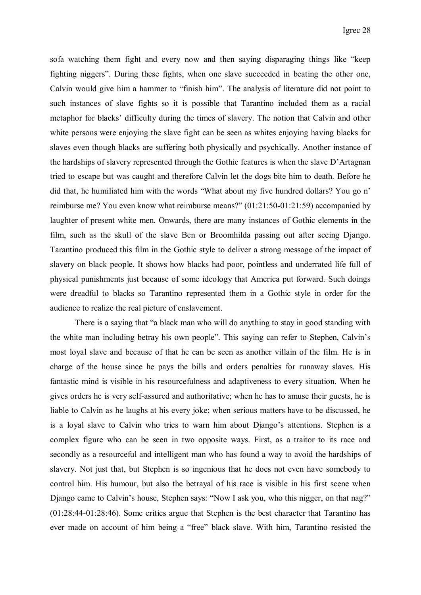sofa watching them fight and every now and then saying disparaging things like "keep fighting niggers". During these fights, when one slave succeeded in beating the other one, Calvin would give him a hammer to "finish him". The analysis of literature did not point to such instances of slave fights so it is possible that Tarantino included them as a racial metaphor for blacks' difficulty during the times of slavery. The notion that Calvin and other white persons were enjoying the slave fight can be seen as whites enjoying having blacks for slaves even though blacks are suffering both physically and psychically. Another instance of the hardships of slavery represented through the Gothic features is when the slave D'Artagnan tried to escape but was caught and therefore Calvin let the dogs bite him to death. Before he did that, he humiliated him with the words "What about my five hundred dollars? You go n' reimburse me? You even know what reimburse means?" (01:21:50-01:21:59) accompanied by laughter of present white men. Onwards, there are many instances of Gothic elements in the film, such as the skull of the slave Ben or Broomhilda passing out after seeing Django. Tarantino produced this film in the Gothic style to deliver a strong message of the impact of slavery on black people. It shows how blacks had poor, pointless and underrated life full of physical punishments just because of some ideology that America put forward. Such doings were dreadful to blacks so Tarantino represented them in a Gothic style in order for the audience to realize the real picture of enslavement.

There is a saying that "a black man who will do anything to stay in good standing with the white man including betray his own people". This saying can refer to Stephen, Calvin's most loyal slave and because of that he can be seen as another villain of the film. He is in charge of the house since he pays the bills and orders penalties for runaway slaves. His fantastic mind is visible in his resourcefulness and adaptiveness to every situation. When he gives orders he is very self-assured and authoritative; when he has to amuse their guests, he is liable to Calvin as he laughs at his every joke; when serious matters have to be discussed, he is a loyal slave to Calvin who tries to warn him about Django's attentions. Stephen is a complex figure who can be seen in two opposite ways. First, as a traitor to its race and secondly as a resourceful and intelligent man who has found a way to avoid the hardships of slavery. Not just that, but Stephen is so ingenious that he does not even have somebody to control him. His humour, but also the betrayal of his race is visible in his first scene when Django came to Calvin's house, Stephen says: "Now I ask you, who this nigger, on that nag?" (01:28:44-01:28:46). Some critics argue that Stephen is the best character that Tarantino has ever made on account of him being a "free" black slave. With him, Tarantino resisted the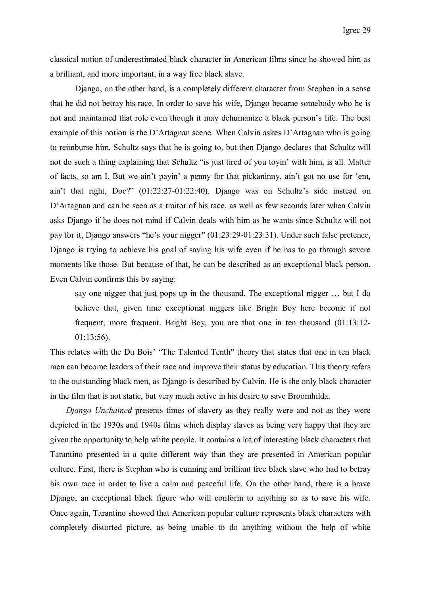classical notion of underestimated black character in American films since he showed him as a brilliant, and more important, in a way free black slave.

Django, on the other hand, is a completely different character from Stephen in a sense that he did not betray his race. In order to save his wife, Django became somebody who he is not and maintained that role even though it may dehumanize a black person's life. The best example of this notion is the D'Artagnan scene. When Calvin askes D'Artagnan who is going to reimburse him, Schultz says that he is going to, but then Django declares that Schultz will not do such a thing explaining that Schultz "is just tired of you toyin' with him, is all. Matter of facts, so am I. But we ain't payin' a penny for that pickaninny, ain't got no use for 'em, ain't that right, Doc?" (01:22:27-01:22:40). Django was on Schultz's side instead on D'Artagnan and can be seen as a traitor of his race, as well as few seconds later when Calvin asks Django if he does not mind if Calvin deals with him as he wants since Schultz will not pay for it, Django answers "he's your nigger" (01:23:29-01:23:31). Under such false pretence, Django is trying to achieve his goal of saving his wife even if he has to go through severe moments like those. But because of that, he can be described as an exceptional black person. Even Calvin confirms this by saying:

say one nigger that just pops up in the thousand. The exceptional nigger … but I do believe that, given time exceptional niggers like Bright Boy here become if not frequent, more frequent. Bright Boy, you are that one in ten thousand (01:13:12- 01:13:56).

This relates with the Du Bois' "The Talented Tenth" theory that states that one in ten black men can become leaders of their race and improve their status by education. This theory refers to the outstanding black men, as Django is described by Calvin. He is the only black character in the film that is not static, but very much active in his desire to save Broomhilda.

*Django Unchained* presents times of slavery as they really were and not as they were depicted in the 1930s and 1940s films which display slaves as being very happy that they are given the opportunity to help white people. It contains a lot of interesting black characters that Tarantino presented in a quite different way than they are presented in American popular culture. First, there is Stephan who is cunning and brilliant free black slave who had to betray his own race in order to live a calm and peaceful life. On the other hand, there is a brave Django, an exceptional black figure who will conform to anything so as to save his wife. Once again, Tarantino showed that American popular culture represents black characters with completely distorted picture, as being unable to do anything without the help of white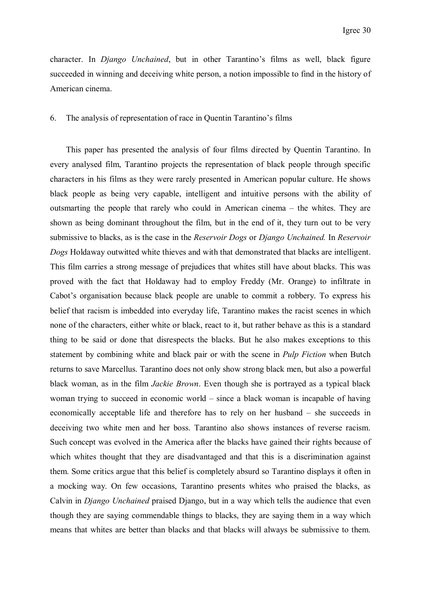character. In *Django Unchained*, but in other Tarantino's films as well, black figure succeeded in winning and deceiving white person, a notion impossible to find in the history of American cinema.

#### 6. The analysis of representation of race in Quentin Tarantino's films

This paper has presented the analysis of four films directed by Quentin Tarantino. In every analysed film, Tarantino projects the representation of black people through specific characters in his films as they were rarely presented in American popular culture. He shows black people as being very capable, intelligent and intuitive persons with the ability of outsmarting the people that rarely who could in American cinema – the whites. They are shown as being dominant throughout the film, but in the end of it, they turn out to be very submissive to blacks, as is the case in the *Reservoir Dogs* or *Django Unchained.* In *Reservoir Dogs* Holdaway outwitted white thieves and with that demonstrated that blacks are intelligent. This film carries a strong message of prejudices that whites still have about blacks. This was proved with the fact that Holdaway had to employ Freddy (Mr. Orange) to infiltrate in Cabot's organisation because black people are unable to commit a robbery. To express his belief that racism is imbedded into everyday life, Tarantino makes the racist scenes in which none of the characters, either white or black, react to it, but rather behave as this is a standard thing to be said or done that disrespects the blacks. But he also makes exceptions to this statement by combining white and black pair or with the scene in *Pulp Fiction* when Butch returns to save Marcellus. Tarantino does not only show strong black men, but also a powerful black woman, as in the film *Jackie Brown*. Even though she is portrayed as a typical black woman trying to succeed in economic world – since a black woman is incapable of having economically acceptable life and therefore has to rely on her husband – she succeeds in deceiving two white men and her boss. Tarantino also shows instances of reverse racism. Such concept was evolved in the America after the blacks have gained their rights because of which whites thought that they are disadvantaged and that this is a discrimination against them. Some critics argue that this belief is completely absurd so Tarantino displays it often in a mocking way. On few occasions, Tarantino presents whites who praised the blacks, as Calvin in *Django Unchained* praised Django, but in a way which tells the audience that even though they are saying commendable things to blacks, they are saying them in a way which means that whites are better than blacks and that blacks will always be submissive to them.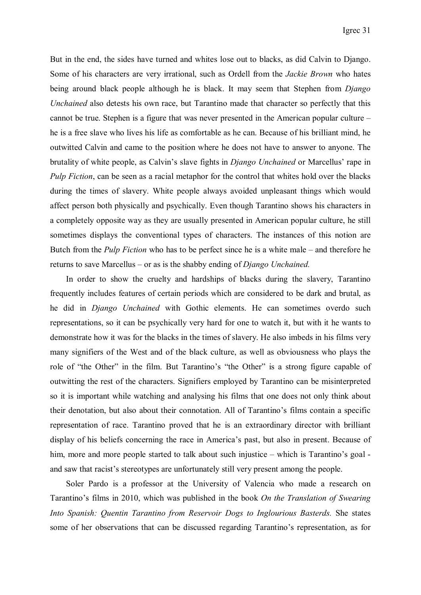But in the end, the sides have turned and whites lose out to blacks, as did Calvin to Django. Some of his characters are very irrational, such as Ordell from the *Jackie Brown* who hates being around black people although he is black. It may seem that Stephen from *Django Unchained* also detests his own race, but Tarantino made that character so perfectly that this cannot be true. Stephen is a figure that was never presented in the American popular culture – he is a free slave who lives his life as comfortable as he can. Because of his brilliant mind, he outwitted Calvin and came to the position where he does not have to answer to anyone. The brutality of white people, as Calvin's slave fights in *Django Unchained* or Marcellus' rape in *Pulp Fiction*, can be seen as a racial metaphor for the control that whites hold over the blacks during the times of slavery. White people always avoided unpleasant things which would affect person both physically and psychically. Even though Tarantino shows his characters in a completely opposite way as they are usually presented in American popular culture, he still sometimes displays the conventional types of characters. The instances of this notion are Butch from the *Pulp Fiction* who has to be perfect since he is a white male – and therefore he returns to save Marcellus – or as is the shabby ending of *Django Unchained.* 

In order to show the cruelty and hardships of blacks during the slavery, Tarantino frequently includes features of certain periods which are considered to be dark and brutal, as he did in *Django Unchained* with Gothic elements. He can sometimes overdo such representations, so it can be psychically very hard for one to watch it, but with it he wants to demonstrate how it was for the blacks in the times of slavery. He also imbeds in his films very many signifiers of the West and of the black culture, as well as obviousness who plays the role of "the Other" in the film. But Tarantino's "the Other" is a strong figure capable of outwitting the rest of the characters. Signifiers employed by Tarantino can be misinterpreted so it is important while watching and analysing his films that one does not only think about their denotation, but also about their connotation. All of Tarantino's films contain a specific representation of race. Tarantino proved that he is an extraordinary director with brilliant display of his beliefs concerning the race in America's past, but also in present. Because of him, more and more people started to talk about such injustice – which is Tarantino's goal and saw that racist's stereotypes are unfortunately still very present among the people.

Soler Pardo is a professor at the University of Valencia who made a research on Tarantino's films in 2010, which was published in the book *On the Translation of Swearing Into Spanish: Quentin Tarantino from Reservoir Dogs to Inglourious Basterds. She states* some of her observations that can be discussed regarding Tarantino's representation, as for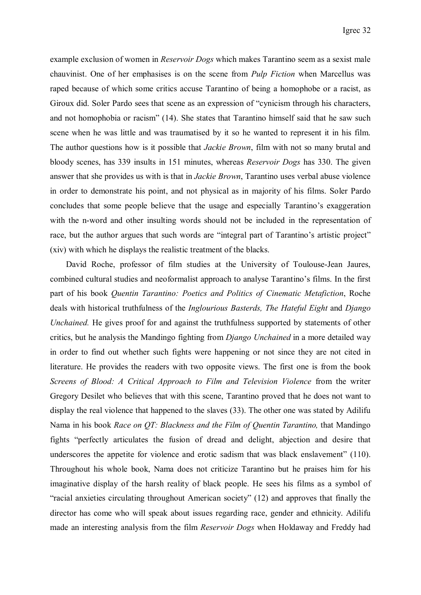example exclusion of women in *Reservoir Dogs* which makes Tarantino seem as a sexist male chauvinist. One of her emphasises is on the scene from *Pulp Fiction* when Marcellus was raped because of which some critics accuse Tarantino of being a homophobe or a racist, as Giroux did. Soler Pardo sees that scene as an expression of "cynicism through his characters, and not homophobia or racism" (14). She states that Tarantino himself said that he saw such scene when he was little and was traumatised by it so he wanted to represent it in his film. The author questions how is it possible that *Jackie Brown*, film with not so many brutal and bloody scenes, has 339 insults in 151 minutes, whereas *Reservoir Dogs* has 330. The given answer that she provides us with is that in *Jackie Brown*, Tarantino uses verbal abuse violence in order to demonstrate his point, and not physical as in majority of his films. Soler Pardo concludes that some people believe that the usage and especially Tarantino's exaggeration with the n-word and other insulting words should not be included in the representation of race, but the author argues that such words are "integral part of Tarantino's artistic project" (xiv) with which he displays the realistic treatment of the blacks.

David Roche, professor of film studies at the University of Toulouse-Jean Jaures, combined cultural studies and neoformalist approach to analyse Tarantino's films. In the first part of his book *Quentin Tarantino: Poetics and Politics of Cinematic Metafiction*, Roche deals with historical truthfulness of the *Inglourious Basterds, The Hateful Eight* and *Django Unchained.* He gives proof for and against the truthfulness supported by statements of other critics, but he analysis the Mandingo fighting from *Django Unchained* in a more detailed way in order to find out whether such fights were happening or not since they are not cited in literature. He provides the readers with two opposite views. The first one is from the book *Screens of Blood: A Critical Approach to Film and Television Violence* from the writer Gregory Desilet who believes that with this scene, Tarantino proved that he does not want to display the real violence that happened to the slaves (33). The other one was stated by Adilifu Nama in his book *Race on QT: Blackness and the Film of Quentin Tarantino*, that Mandingo fights "perfectly articulates the fusion of dread and delight, abjection and desire that underscores the appetite for violence and erotic sadism that was black enslavement" (110). Throughout his whole book, Nama does not criticize Tarantino but he praises him for his imaginative display of the harsh reality of black people. He sees his films as a symbol of "racial anxieties circulating throughout American society" (12) and approves that finally the director has come who will speak about issues regarding race, gender and ethnicity. Adilifu made an interesting analysis from the film *Reservoir Dogs* when Holdaway and Freddy had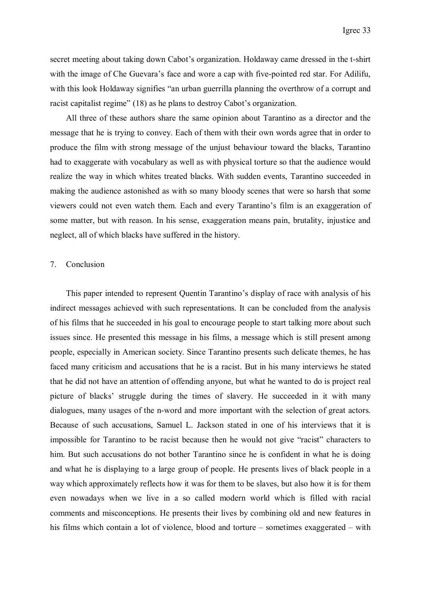secret meeting about taking down Cabot's organization. Holdaway came dressed in the t-shirt with the image of Che Guevara's face and wore a cap with five-pointed red star. For Adilifu, with this look Holdaway signifies "an urban guerrilla planning the overthrow of a corrupt and racist capitalist regime" (18) as he plans to destroy Cabot's organization.

All three of these authors share the same opinion about Tarantino as a director and the message that he is trying to convey. Each of them with their own words agree that in order to produce the film with strong message of the unjust behaviour toward the blacks, Tarantino had to exaggerate with vocabulary as well as with physical torture so that the audience would realize the way in which whites treated blacks. With sudden events, Tarantino succeeded in making the audience astonished as with so many bloody scenes that were so harsh that some viewers could not even watch them. Each and every Tarantino's film is an exaggeration of some matter, but with reason. In his sense, exaggeration means pain, brutality, injustice and neglect, all of which blacks have suffered in the history.

#### 7. Conclusion

This paper intended to represent Quentin Tarantino's display of race with analysis of his indirect messages achieved with such representations. It can be concluded from the analysis of his films that he succeeded in his goal to encourage people to start talking more about such issues since. He presented this message in his films, a message which is still present among people, especially in American society. Since Tarantino presents such delicate themes, he has faced many criticism and accusations that he is a racist. But in his many interviews he stated that he did not have an attention of offending anyone, but what he wanted to do is project real picture of blacks' struggle during the times of slavery. He succeeded in it with many dialogues, many usages of the n-word and more important with the selection of great actors. Because of such accusations, Samuel L. Jackson stated in one of his interviews that it is impossible for Tarantino to be racist because then he would not give "racist" characters to him. But such accusations do not bother Tarantino since he is confident in what he is doing and what he is displaying to a large group of people. He presents lives of black people in a way which approximately reflects how it was for them to be slaves, but also how it is for them even nowadays when we live in a so called modern world which is filled with racial comments and misconceptions. He presents their lives by combining old and new features in his films which contain a lot of violence, blood and torture – sometimes exaggerated – with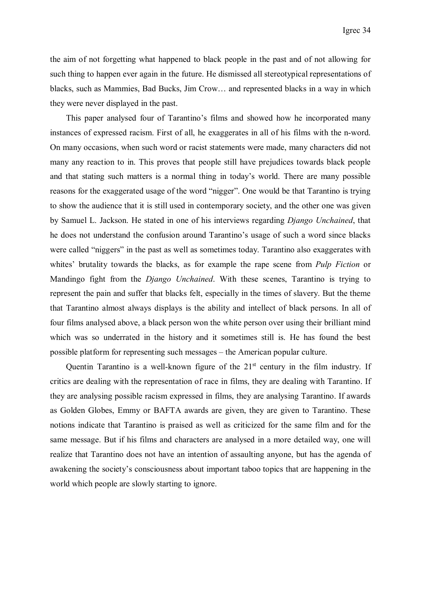the aim of not forgetting what happened to black people in the past and of not allowing for such thing to happen ever again in the future. He dismissed all stereotypical representations of blacks, such as Mammies, Bad Bucks, Jim Crow… and represented blacks in a way in which they were never displayed in the past.

This paper analysed four of Tarantino's films and showed how he incorporated many instances of expressed racism. First of all, he exaggerates in all of his films with the n-word. On many occasions, when such word or racist statements were made, many characters did not many any reaction to in. This proves that people still have prejudices towards black people and that stating such matters is a normal thing in today's world. There are many possible reasons for the exaggerated usage of the word "nigger". One would be that Tarantino is trying to show the audience that it is still used in contemporary society, and the other one was given by Samuel L. Jackson. He stated in one of his interviews regarding *Django Unchained*, that he does not understand the confusion around Tarantino's usage of such a word since blacks were called "niggers" in the past as well as sometimes today. Tarantino also exaggerates with whites' brutality towards the blacks, as for example the rape scene from *Pulp Fiction* or Mandingo fight from the *Django Unchained*. With these scenes, Tarantino is trying to represent the pain and suffer that blacks felt, especially in the times of slavery. But the theme that Tarantino almost always displays is the ability and intellect of black persons. In all of four films analysed above, a black person won the white person over using their brilliant mind which was so underrated in the history and it sometimes still is. He has found the best possible platform for representing such messages – the American popular culture.

Quentin Tarantino is a well-known figure of the  $21<sup>st</sup>$  century in the film industry. If critics are dealing with the representation of race in films, they are dealing with Tarantino. If they are analysing possible racism expressed in films, they are analysing Tarantino. If awards as Golden Globes, Emmy or BAFTA awards are given, they are given to Tarantino. These notions indicate that Tarantino is praised as well as criticized for the same film and for the same message. But if his films and characters are analysed in a more detailed way, one will realize that Tarantino does not have an intention of assaulting anyone, but has the agenda of awakening the society's consciousness about important taboo topics that are happening in the world which people are slowly starting to ignore.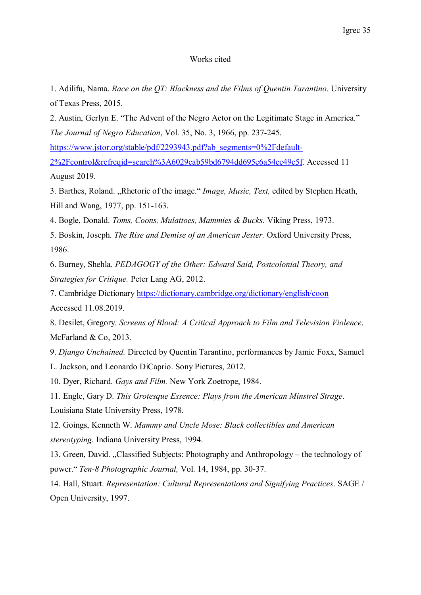#### Works cited

1. Adilifu, Nama. *Race on the QT: Blackness and the Films of Quentin Tarantino.* University of Texas Press, 2015.

2. Austin, Gerlyn E. "The Advent of the Negro Actor on the Legitimate Stage in America." *The Journal of Negro Education*, Vol. 35, No. 3, 1966, pp. 237-245.

https://www.jstor.org/stable/pdf/2293943.pdf?ab\_segments=0%2Fdefault-2%2Fcontrol&refreqid=search%3A6029cab59bd6794dd695e6a54cc49c5f. Accessed 11 August 2019.

3. Barthes, Roland. "Rhetoric of the image." *Image, Music, Text,* edited by Stephen Heath, Hill and Wang, 1977, pp. 151-163.

4. Bogle, Donald. *Toms, Coons, Mulattoes, Mammies & Bucks.* Viking Press, 1973.

5. Boskin, Joseph. *The Rise and Demise of an American Jester.* Oxford University Press, 1986.

6. Burney, Shehla. *PEDAGOGY of the Other: Edward Said, Postcolonial Theory, and Strategies for Critique.* Peter Lang AG, 2012.

7. Cambridge Dictionary https://dictionary.cambridge.org/dictionary/english/coon Accessed 11.08.2019.

8. Desilet, Gregory. *Screens of Blood: A Critical Approach to Film and Television Violence*. McFarland & Co, 2013.

9. *Django Unchained.* Directed by Quentin Tarantino, performances by Jamie Foxx, Samuel

L. Jackson, and Leonardo DiCaprio. Sony Pictures, 2012.

10. Dyer, Richard. *Gays and Film.* New York Zoetrope, 1984.

11. Engle, Gary D. *This Grotesque Essence: Plays from the American Minstrel Strage*. Louisiana State University Press, 1978.

12. Goings, Kenneth W. *Mammy and Uncle Mose: Black collectibles and American stereotyping.* Indiana University Press, 1994.

13. Green, David. "Classified Subjects: Photography and Anthropology – the technology of power." *Ten-8 Photographic Journal,* Vol. 14, 1984, pp. 30-37.

14. Hall, Stuart. *Representation: Cultural Representations and Signifying Practices*. SAGE / Open University, 1997.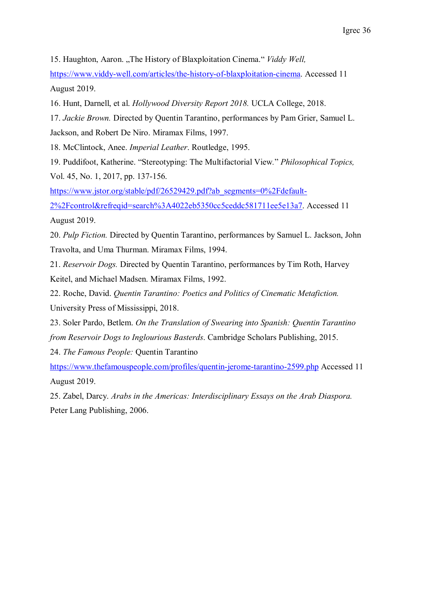15. Haughton, Aaron. ..The History of Blaxploitation Cinema." *Viddy Well.* 

https://www.viddy-well.com/articles/the-history-of-blaxploitation-cinema. Accessed 11 August 2019.

16. Hunt, Darnell, et al. *Hollywood Diversity Report 2018.* UCLA College, 2018.

17. *Jackie Brown.* Directed by Quentin Tarantino, performances by Pam Grier, Samuel L. Jackson, and Robert De Niro. Miramax Films, 1997.

18. McClintock, Anee. *Imperial Leather*. Routledge, 1995.

19. Puddifoot, Katherine. "Stereotyping: The Multifactorial View*.*" *Philosophical Topics,*  Vol. 45, No. 1, 2017, pp. 137-156.

https://www.jstor.org/stable/pdf/26529429.pdf?ab\_segments=0%2Fdefault-

2%2Fcontrol&refreqid=search%3A4022eb5350cc5ceddc581711ee5e13a7. Accessed 11 August 2019.

20. *Pulp Fiction.* Directed by Quentin Tarantino, performances by Samuel L. Jackson, John Travolta, and Uma Thurman. Miramax Films, 1994.

21. *Reservoir Dogs.* Directed by Quentin Tarantino, performances by Tim Roth, Harvey Keitel, and Michael Madsen. Miramax Films, 1992.

22. Roche, David. *Quentin Tarantino: Poetics and Politics of Cinematic Metafiction.*  University Press of Mississippi, 2018.

23. Soler Pardo, Betlem. *On the Translation of Swearing into Spanish: Quentin Tarantino from Reservoir Dogs to Inglourious Basterds*. Cambridge Scholars Publishing, 2015.

24. *The Famous People:* Quentin Tarantino

https://www.thefamouspeople.com/profiles/quentin-jerome-tarantino-2599.php Accessed 11 August 2019.

25. Zabel, Darcy. *Arabs in the Americas: Interdisciplinary Essays on the Arab Diaspora.*  Peter Lang Publishing, 2006.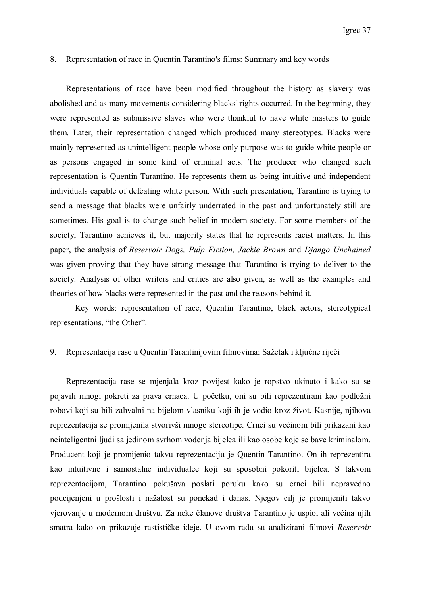#### 8. Representation of race in Quentin Tarantino's films: Summary and key words

Representations of race have been modified throughout the history as slavery was abolished and as many movements considering blacks' rights occurred. In the beginning, they were represented as submissive slaves who were thankful to have white masters to guide them. Later, their representation changed which produced many stereotypes. Blacks were mainly represented as unintelligent people whose only purpose was to guide white people or as persons engaged in some kind of criminal acts. The producer who changed such representation is Quentin Tarantino. He represents them as being intuitive and independent individuals capable of defeating white person. With such presentation, Tarantino is trying to send a message that blacks were unfairly underrated in the past and unfortunately still are sometimes. His goal is to change such belief in modern society. For some members of the society, Tarantino achieves it, but majority states that he represents racist matters. In this paper, the analysis of *Reservoir Dogs, Pulp Fiction, Jackie Brown* and *Django Unchained* was given proving that they have strong message that Tarantino is trying to deliver to the society. Analysis of other writers and critics are also given, as well as the examples and theories of how blacks were represented in the past and the reasons behind it.

Key words: representation of race, Quentin Tarantino, black actors, stereotypical representations, "the Other".

### 9. Representacija rase u Quentin Tarantinijovim filmovima: Sažetak i ključne riječi

Reprezentacija rase se mjenjala kroz povijest kako je ropstvo ukinuto i kako su se pojavili mnogi pokreti za prava crnaca. U početku, oni su bili reprezentirani kao podložni robovi koji su bili zahvalni na bijelom vlasniku koji ih je vodio kroz život. Kasnije, njihova reprezentacija se promijenila stvorivši mnoge stereotipe. Crnci su većinom bili prikazani kao neinteligentni ljudi sa jedinom svrhom vođenja bijelca ili kao osobe koje se bave kriminalom. Producent koji je promijenio takvu reprezentaciju je Quentin Tarantino. On ih reprezentira kao intuitivne i samostalne individualce koji su sposobni pokoriti bijelca. S takvom reprezentacijom, Tarantino pokušava poslati poruku kako su crnci bili nepravedno podcijenjeni u prošlosti i nažalost su ponekad i danas. Njegov cilj je promijeniti takvo vjerovanje u modernom društvu. Za neke članove društva Tarantino je uspio, ali većina njih smatra kako on prikazuje rastističke ideje. U ovom radu su analizirani filmovi *Reservoir*